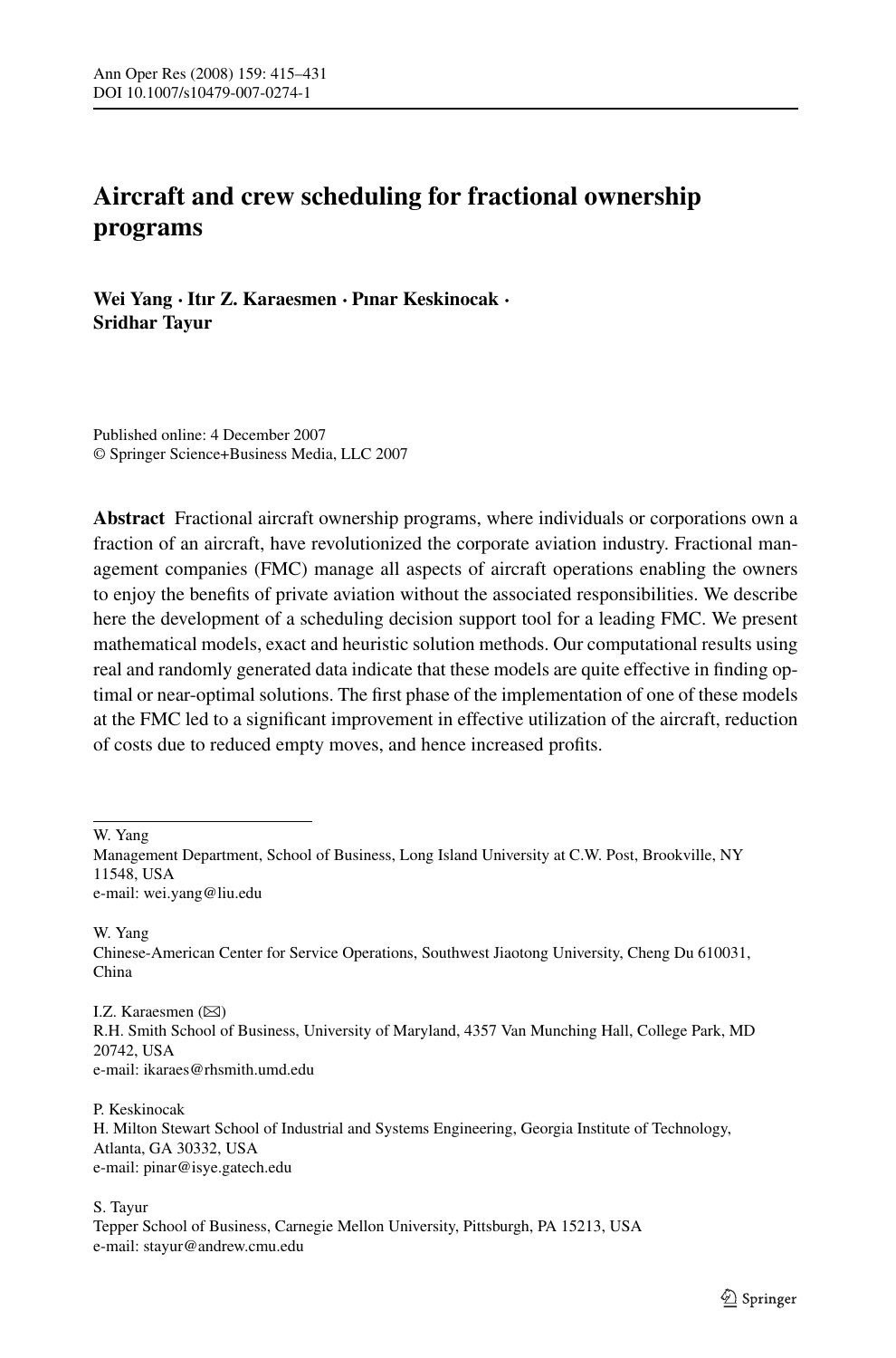# **Aircraft and crew scheduling for fractional ownership programs**

**Wei Yang ·Itır Z. Karaesmen · Pınar Keskinocak · Sridhar Tayur**

Published online: 4 December 2007 © Springer Science+Business Media, LLC 2007

**Abstract** Fractional aircraft ownership programs, where individuals or corporations own a fraction of an aircraft, have revolutionized the corporate aviation industry. Fractional management companies (FMC) manage all aspects of aircraft operations enabling the owners to enjoy the benefits of private aviation without the associated responsibilities. We describe here the development of a scheduling decision support tool for a leading FMC. We present mathematical models, exact and heuristic solution methods. Our computational results using real and randomly generated data indicate that these models are quite effective in finding optimal or near-optimal solutions. The first phase of the implementation of one of these models at the FMC led to a significant improvement in effective utilization of the aircraft, reduction of costs due to reduced empty moves, and hence increased profits.

W. Yang

Management Department, School of Business, Long Island University at C.W. Post, Brookville, NY 11548, USA e-mail: wei.yang@liu.edu

W. Yang

Chinese-American Center for Service Operations, Southwest Jiaotong University, Cheng Du 610031, China

I.Z. Karaesmen  $(\boxtimes)$ R.H. Smith School of Business, University of Maryland, 4357 Van Munching Hall, College Park, MD 20742, USA e-mail: ikaraes@rhsmith.umd.edu

P. Keskinocak H. Milton Stewart School of Industrial and Systems Engineering, Georgia Institute of Technology, Atlanta, GA 30332, USA e-mail: pinar@isye.gatech.edu

S. Tayur

Tepper School of Business, Carnegie Mellon University, Pittsburgh, PA 15213, USA e-mail: stayur@andrew.cmu.edu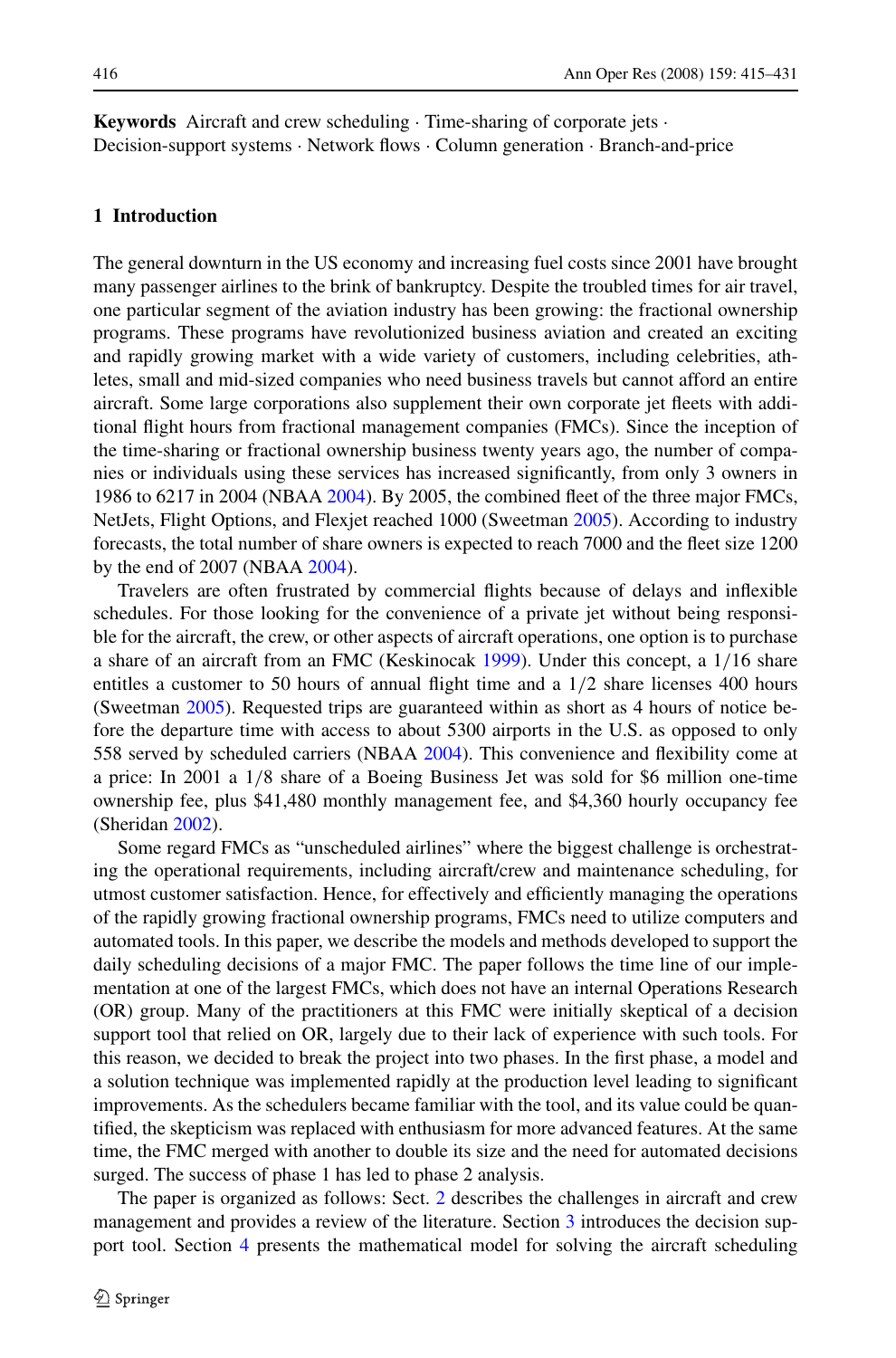**Keywords** Aircraft and crew scheduling · Time-sharing of corporate jets · Decision-support systems · Network flows · Column generation · Branch-and-price

# **1 Introduction**

The general downturn in the US economy and increasing fuel costs since 2001 have brought many passenger airlines to the brink of bankruptcy. Despite the troubled times for air travel, one particular segment of the aviation industry has been growing: the fractional ownership programs. These programs have revolutionized business aviation and created an exciting and rapidly growing market with a wide variety of customers, including celebrities, athletes, small and mid-sized companies who need business travels but cannot afford an entire aircraft. Some large corporations also supplement their own corporate jet fleets with additional flight hours from fractional management companies (FMCs). Since the inception of the time-sharing or fractional ownership business twenty years ago, the number of companies or individuals using these services has increased significantly, from only 3 owners in 1986 to 6217 in 2004 (NBAA [2004](#page-16-0)). By 2005, the combined fleet of the three major FMCs, NetJets, Flight Options, and Flexjet reached 1000 (Sweetman [2005](#page-16-0)). According to industry forecasts, the total number of share owners is expected to reach 7000 and the fleet size 1200 by the end of 2007 (NBAA [2004](#page-16-0)).

Travelers are often frustrated by commercial flights because of delays and inflexible schedules. For those looking for the convenience of a private jet without being responsible for the aircraft, the crew, or other aspects of aircraft operations, one option is to purchase a share of an aircraft from an FMC (Keskinocak [1999\)](#page-16-0). Under this concept, a 1*/*16 share entitles a customer to 50 hours of annual flight time and a 1*/*2 share licenses 400 hours (Sweetman [2005](#page-16-0)). Requested trips are guaranteed within as short as 4 hours of notice before the departure time with access to about 5300 airports in the U.S. as opposed to only 558 served by scheduled carriers (NBAA [2004\)](#page-16-0). This convenience and flexibility come at a price: In 2001 a 1*/*8 share of a Boeing Business Jet was sold for \$6 million one-time ownership fee, plus \$41,480 monthly management fee, and \$4,360 hourly occupancy fee (Sheridan [2002\)](#page-16-0).

Some regard FMCs as "unscheduled airlines" where the biggest challenge is orchestrating the operational requirements, including aircraft/crew and maintenance scheduling, for utmost customer satisfaction. Hence, for effectively and efficiently managing the operations of the rapidly growing fractional ownership programs, FMCs need to utilize computers and automated tools. In this paper, we describe the models and methods developed to support the daily scheduling decisions of a major FMC. The paper follows the time line of our implementation at one of the largest FMCs, which does not have an internal Operations Research (OR) group. Many of the practitioners at this FMC were initially skeptical of a decision support tool that relied on OR, largely due to their lack of experience with such tools. For this reason, we decided to break the project into two phases. In the first phase, a model and a solution technique was implemented rapidly at the production level leading to significant improvements. As the schedulers became familiar with the tool, and its value could be quantified, the skepticism was replaced with enthusiasm for more advanced features. At the same time, the FMC merged with another to double its size and the need for automated decisions surged. The success of phase 1 has led to phase 2 analysis.

The paper is organized as follows: Sect. [2](#page-2-0) describes the challenges in aircraft and crew management and provides a review of the literature. Section [3](#page-3-0) introduces the decision support tool. Section [4](#page-6-0) presents the mathematical model for solving the aircraft scheduling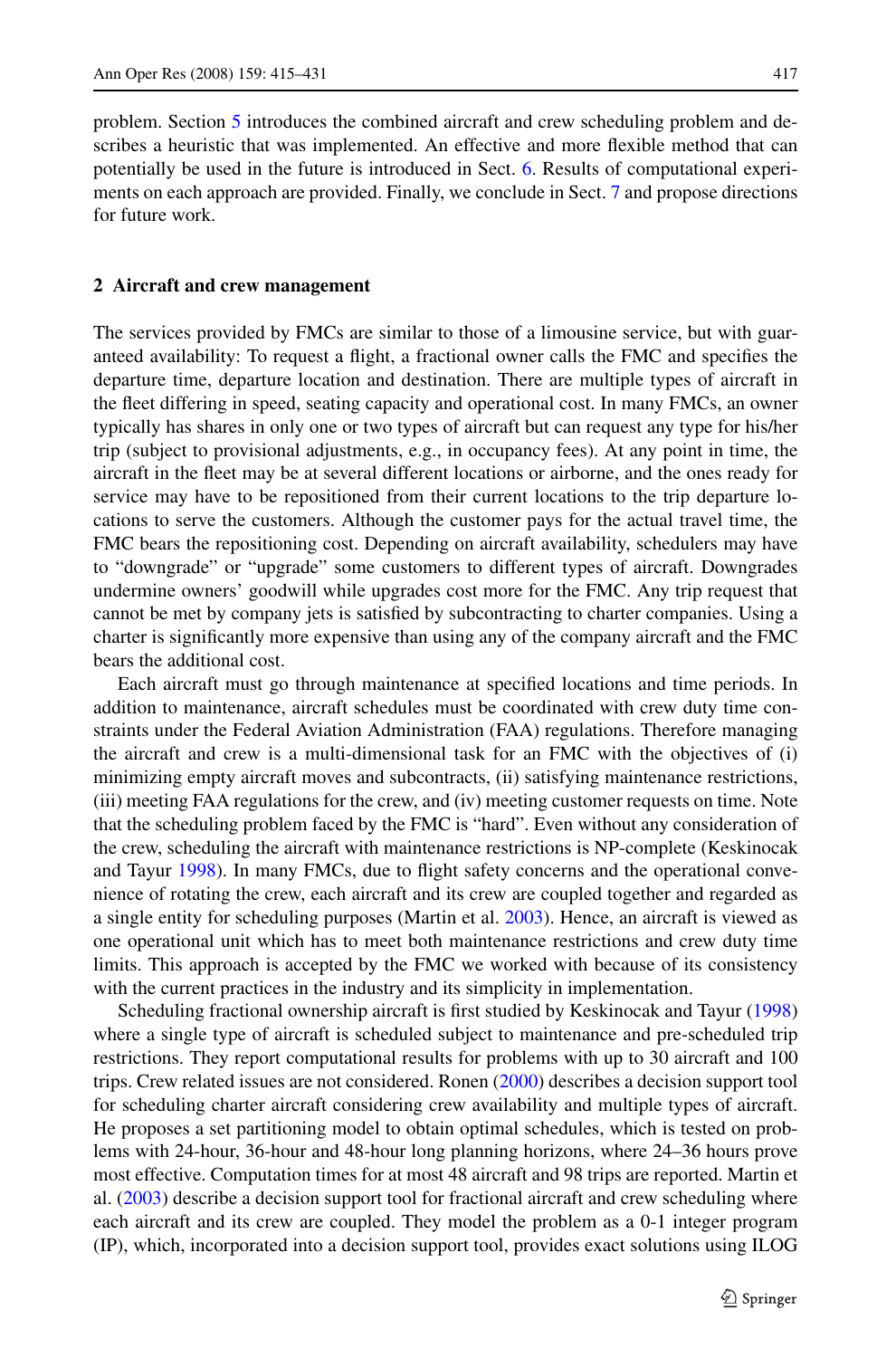<span id="page-2-0"></span>problem. Section [5](#page-9-0) introduces the combined aircraft and crew scheduling problem and describes a heuristic that was implemented. An effective and more flexible method that can potentially be used in the future is introduced in Sect. [6.](#page-10-0) Results of computational experiments on each approach are provided. Finally, we conclude in Sect. [7](#page-15-0) and propose directions for future work.

# **2 Aircraft and crew management**

The services provided by FMCs are similar to those of a limousine service, but with guaranteed availability: To request a flight, a fractional owner calls the FMC and specifies the departure time, departure location and destination. There are multiple types of aircraft in the fleet differing in speed, seating capacity and operational cost. In many FMCs, an owner typically has shares in only one or two types of aircraft but can request any type for his/her trip (subject to provisional adjustments, e.g., in occupancy fees). At any point in time, the aircraft in the fleet may be at several different locations or airborne, and the ones ready for service may have to be repositioned from their current locations to the trip departure locations to serve the customers. Although the customer pays for the actual travel time, the FMC bears the repositioning cost. Depending on aircraft availability, schedulers may have to "downgrade" or "upgrade" some customers to different types of aircraft. Downgrades undermine owners' goodwill while upgrades cost more for the FMC. Any trip request that cannot be met by company jets is satisfied by subcontracting to charter companies. Using a charter is significantly more expensive than using any of the company aircraft and the FMC bears the additional cost.

Each aircraft must go through maintenance at specified locations and time periods. In addition to maintenance, aircraft schedules must be coordinated with crew duty time constraints under the Federal Aviation Administration (FAA) regulations. Therefore managing the aircraft and crew is a multi-dimensional task for an FMC with the objectives of (i) minimizing empty aircraft moves and subcontracts, (ii) satisfying maintenance restrictions, (iii) meeting FAA regulations for the crew, and (iv) meeting customer requests on time. Note that the scheduling problem faced by the FMC is "hard". Even without any consideration of the crew, scheduling the aircraft with maintenance restrictions is NP-complete (Keskinocak and Tayur [1998](#page-16-0)). In many FMCs, due to flight safety concerns and the operational convenience of rotating the crew, each aircraft and its crew are coupled together and regarded as a single entity for scheduling purposes (Martin et al. [2003\)](#page-16-0). Hence, an aircraft is viewed as one operational unit which has to meet both maintenance restrictions and crew duty time limits. This approach is accepted by the FMC we worked with because of its consistency with the current practices in the industry and its simplicity in implementation.

Scheduling fractional ownership aircraft is first studied by Keskinocak and Tayur [\(1998](#page-16-0)) where a single type of aircraft is scheduled subject to maintenance and pre-scheduled trip restrictions. They report computational results for problems with up to 30 aircraft and 100 trips. Crew related issues are not considered. Ronen [\(2000\)](#page-16-0) describes a decision support tool for scheduling charter aircraft considering crew availability and multiple types of aircraft. He proposes a set partitioning model to obtain optimal schedules, which is tested on problems with 24-hour, 36-hour and 48-hour long planning horizons, where 24–36 hours prove most effective. Computation times for at most 48 aircraft and 98 trips are reported. Martin et al. ([2003](#page-16-0)) describe a decision support tool for fractional aircraft and crew scheduling where each aircraft and its crew are coupled. They model the problem as a 0-1 integer program (IP), which, incorporated into a decision support tool, provides exact solutions using ILOG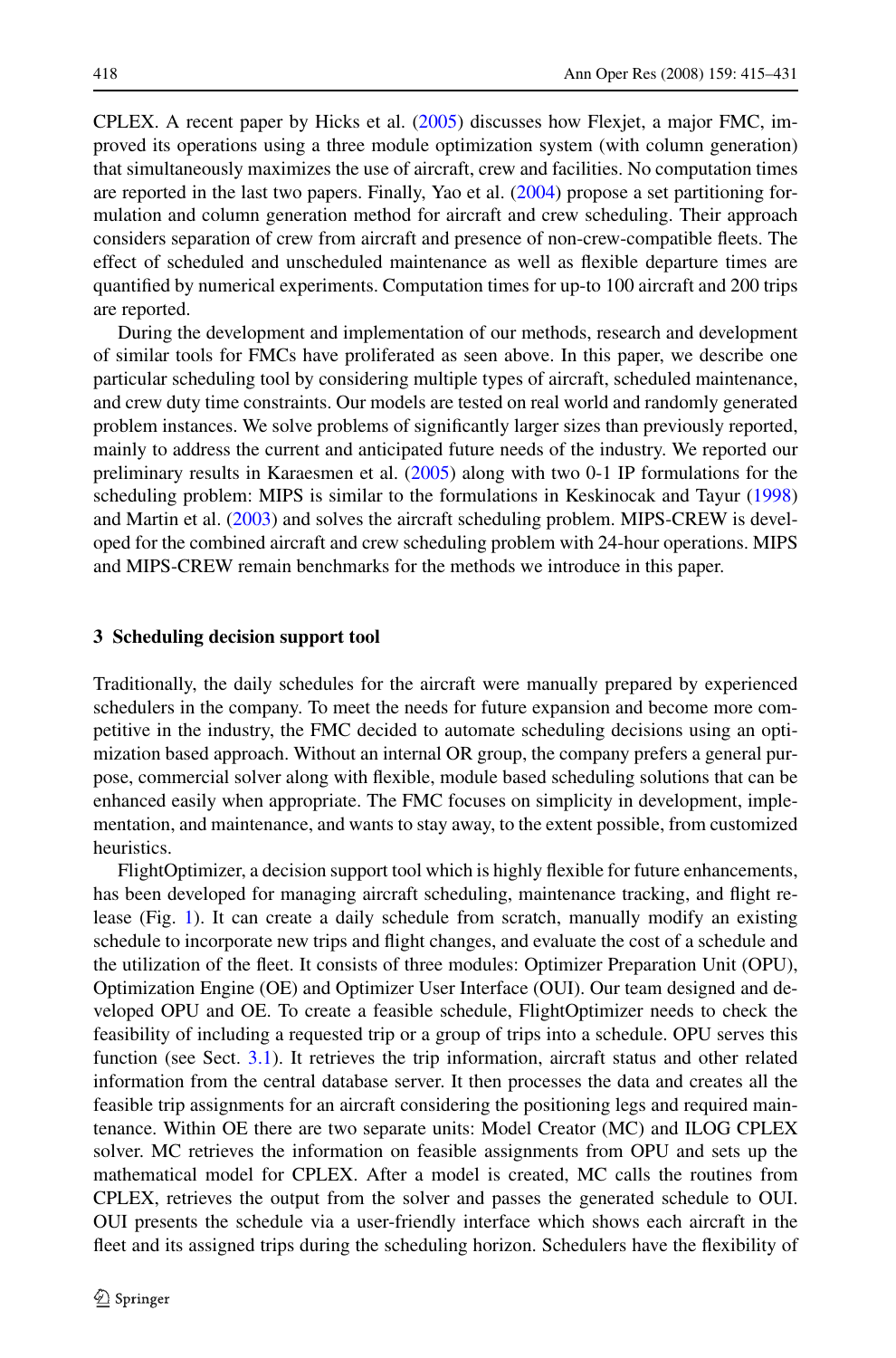<span id="page-3-0"></span>CPLEX. A recent paper by Hicks et al. [\(2005](#page-16-0)) discusses how Flexjet, a major FMC, improved its operations using a three module optimization system (with column generation) that simultaneously maximizes the use of aircraft, crew and facilities. No computation times are reported in the last two papers. Finally, Yao et al. ([2004](#page-16-0)) propose a set partitioning formulation and column generation method for aircraft and crew scheduling. Their approach considers separation of crew from aircraft and presence of non-crew-compatible fleets. The effect of scheduled and unscheduled maintenance as well as flexible departure times are quantified by numerical experiments. Computation times for up-to 100 aircraft and 200 trips are reported.

During the development and implementation of our methods, research and development of similar tools for FMCs have proliferated as seen above. In this paper, we describe one particular scheduling tool by considering multiple types of aircraft, scheduled maintenance, and crew duty time constraints. Our models are tested on real world and randomly generated problem instances. We solve problems of significantly larger sizes than previously reported, mainly to address the current and anticipated future needs of the industry. We reported our preliminary results in Karaesmen et al. ([2005\)](#page-16-0) along with two 0-1 IP formulations for the scheduling problem: MIPS is similar to the formulations in Keskinocak and Tayur [\(1998](#page-16-0)) and Martin et al. [\(2003](#page-16-0)) and solves the aircraft scheduling problem. MIPS-CREW is developed for the combined aircraft and crew scheduling problem with 24-hour operations. MIPS and MIPS-CREW remain benchmarks for the methods we introduce in this paper.

### **3 Scheduling decision support tool**

Traditionally, the daily schedules for the aircraft were manually prepared by experienced schedulers in the company. To meet the needs for future expansion and become more competitive in the industry, the FMC decided to automate scheduling decisions using an optimization based approach. Without an internal OR group, the company prefers a general purpose, commercial solver along with flexible, module based scheduling solutions that can be enhanced easily when appropriate. The FMC focuses on simplicity in development, implementation, and maintenance, and wants to stay away, to the extent possible, from customized heuristics.

FlightOptimizer, a decision support tool which is highly flexible for future enhancements, has been developed for managing aircraft scheduling, maintenance tracking, and flight release (Fig. [1](#page-4-0)). It can create a daily schedule from scratch, manually modify an existing schedule to incorporate new trips and flight changes, and evaluate the cost of a schedule and the utilization of the fleet. It consists of three modules: Optimizer Preparation Unit (OPU), Optimization Engine (OE) and Optimizer User Interface (OUI). Our team designed and developed OPU and OE. To create a feasible schedule, FlightOptimizer needs to check the feasibility of including a requested trip or a group of trips into a schedule. OPU serves this function (see Sect. [3.1\)](#page-4-0). It retrieves the trip information, aircraft status and other related information from the central database server. It then processes the data and creates all the feasible trip assignments for an aircraft considering the positioning legs and required maintenance. Within OE there are two separate units: Model Creator (MC) and ILOG CPLEX solver. MC retrieves the information on feasible assignments from OPU and sets up the mathematical model for CPLEX. After a model is created, MC calls the routines from CPLEX, retrieves the output from the solver and passes the generated schedule to OUI. OUI presents the schedule via a user-friendly interface which shows each aircraft in the fleet and its assigned trips during the scheduling horizon. Schedulers have the flexibility of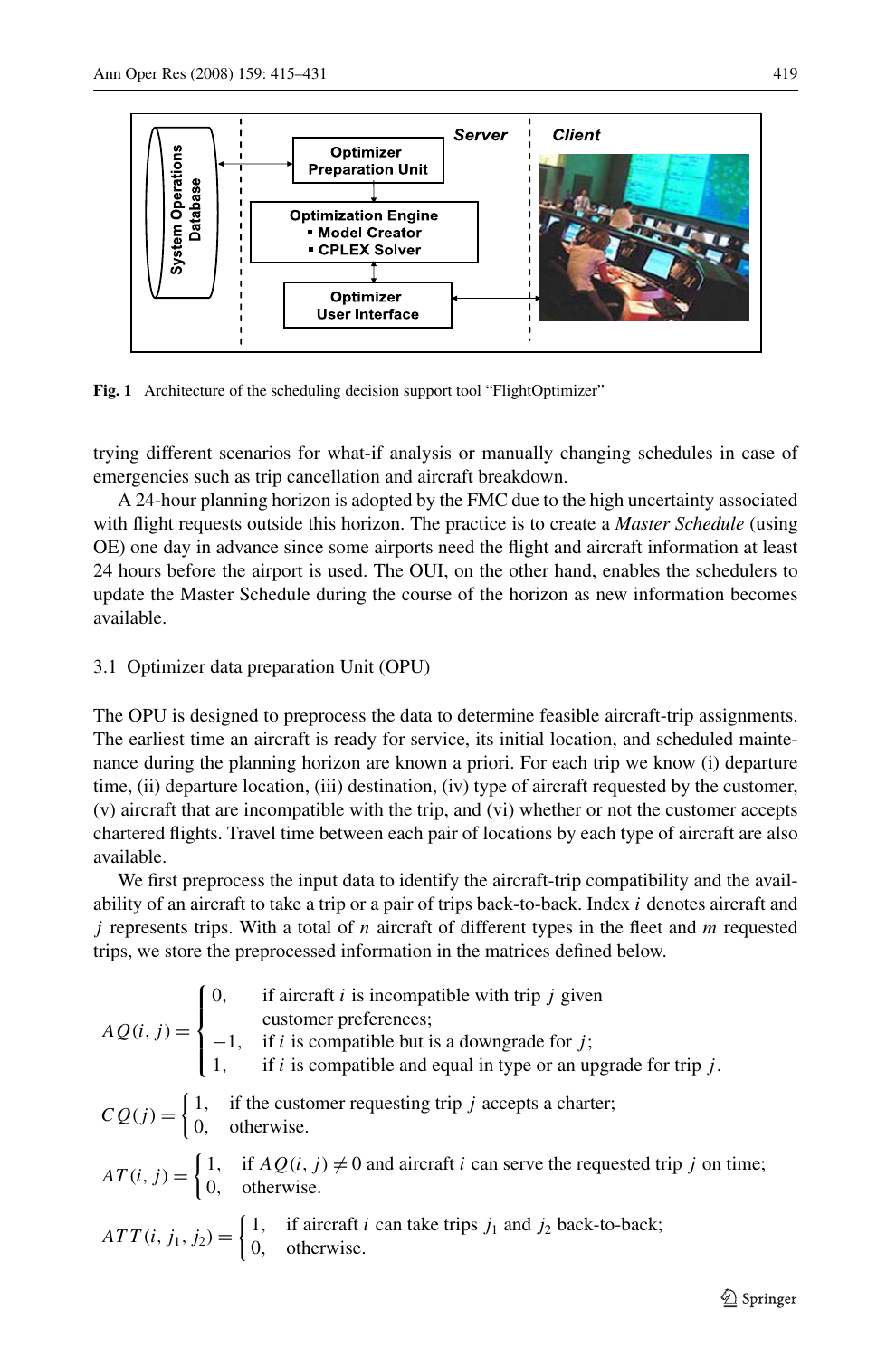<span id="page-4-0"></span>

**Fig. 1** Architecture of the scheduling decision support tool "FlightOptimizer"

trying different scenarios for what-if analysis or manually changing schedules in case of emergencies such as trip cancellation and aircraft breakdown.

A 24-hour planning horizon is adopted by the FMC due to the high uncertainty associated with flight requests outside this horizon. The practice is to create a *Master Schedule* (using OE) one day in advance since some airports need the flight and aircraft information at least 24 hours before the airport is used. The OUI, on the other hand, enables the schedulers to update the Master Schedule during the course of the horizon as new information becomes available.

# 3.1 Optimizer data preparation Unit (OPU)

The OPU is designed to preprocess the data to determine feasible aircraft-trip assignments. The earliest time an aircraft is ready for service, its initial location, and scheduled maintenance during the planning horizon are known a priori. For each trip we know (i) departure time, (ii) departure location, (iii) destination, (iv) type of aircraft requested by the customer, (v) aircraft that are incompatible with the trip, and (vi) whether or not the customer accepts chartered flights. Travel time between each pair of locations by each type of aircraft are also available.

We first preprocess the input data to identify the aircraft-trip compatibility and the availability of an aircraft to take a trip or a pair of trips back-to-back. Index *i* denotes aircraft and *j* represents trips. With a total of *n* aircraft of different types in the fleet and *m* requested trips, we store the preprocessed information in the matrices defined below.

|  | $AQ(i, j) = \begin{cases} 0, & \text{if aircraft } i \text{ is incompatible with trip } j \text{ given} \\ -1, & \text{if } i \text{ is compatible but is a downgrade for } j; \\ 1, & \text{if } i \text{ is compatible and equal in type or an upgrade for trip } j. \end{cases}$ |
|--|-------------------------------------------------------------------------------------------------------------------------------------------------------------------------------------------------------------------------------------------------------------------------------------|
|  | $CQ(j) = \begin{cases} 1, & \text{if the customer requesting trip } j \text{ accepts a charter;} \\ 0, & \text{otherwise.} \end{cases}$                                                                                                                                             |
|  | $AT(i, j) = \begin{cases} 1, & \text{if } AQ(i, j) \neq 0 \text{ and aircraft } i \text{ can serve the requested trip } j \text{ on time;} \\ 0, & \text{otherwise.} \end{cases}$                                                                                                   |
|  | $ATT(i, j_1, j_2) =\begin{cases} 1, & \text{if aircraft } i \text{ can take trips } j_1 \text{ and } j_2 \text{ back-to-back;} \\ 0, & \text{otherwise.} \end{cases}$                                                                                                               |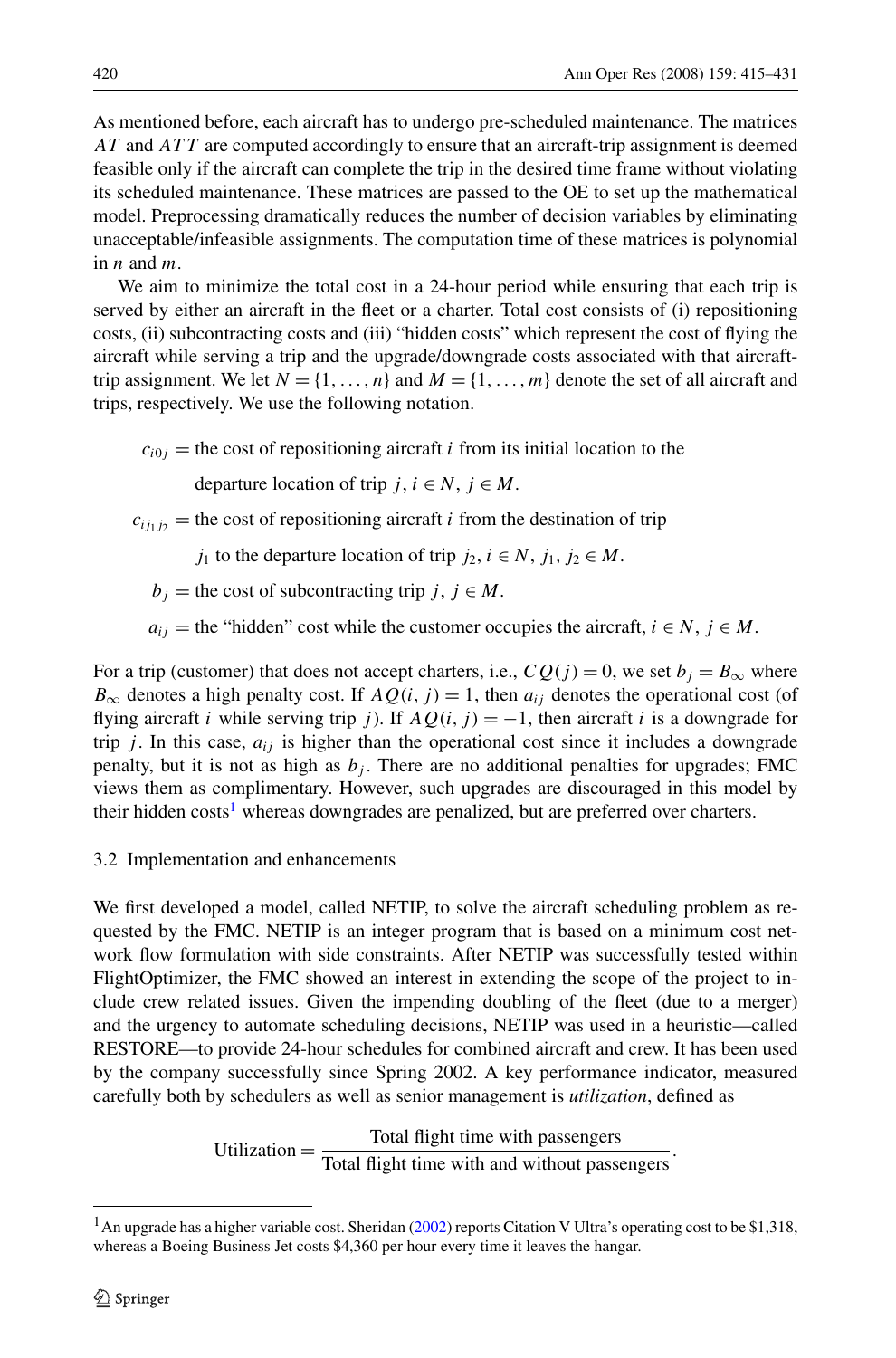As mentioned before, each aircraft has to undergo pre-scheduled maintenance. The matrices *AT* and *AT T* are computed accordingly to ensure that an aircraft-trip assignment is deemed feasible only if the aircraft can complete the trip in the desired time frame without violating its scheduled maintenance. These matrices are passed to the OE to set up the mathematical model. Preprocessing dramatically reduces the number of decision variables by eliminating unacceptable/infeasible assignments. The computation time of these matrices is polynomial in *n* and *m*.

We aim to minimize the total cost in a 24-hour period while ensuring that each trip is served by either an aircraft in the fleet or a charter. Total cost consists of (i) repositioning costs, (ii) subcontracting costs and (iii) "hidden costs" which represent the cost of flying the aircraft while serving a trip and the upgrade/downgrade costs associated with that aircrafttrip assignment. We let  $N = \{1, \ldots, n\}$  and  $M = \{1, \ldots, m\}$  denote the set of all aircraft and trips, respectively. We use the following notation.

 $c_{i0j}$  = the cost of repositioning aircraft *i* from its initial location to the

departure location of trip  $j, i \in N, j \in M$ .

 $c_{ij_1j_2}$  = the cost of repositioning aircraft *i* from the destination of trip

*j*<sub>1</sub> to the departure location of trip *j*<sub>2</sub>, *i*  $\in$  *N*, *j*<sub>1</sub>, *j*<sub>2</sub>  $\in$  *M*.

 $b_j$  = the cost of subcontracting trip *j*, *j*  $\in$  *M*.

 $a_{ij}$  = the "hidden" cost while the customer occupies the aircraft,  $i \in N$ ,  $j \in M$ .

For a trip (customer) that does not accept charters, i.e.,  $CQ(j) = 0$ , we set  $b_j = B_{\infty}$  where  $B_{\infty}$  denotes a high penalty cost. If  $AQ(i, j) = 1$ , then  $a_{ij}$  denotes the operational cost (of flying aircraft *i* while serving trip *j*). If  $AQ(i, j) = -1$ , then aircraft *i* is a downgrade for trip  $j$ . In this case,  $a_{ij}$  is higher than the operational cost since it includes a downgrade penalty, but it is not as high as  $b_j$ . There are no additional penalties for upgrades; FMC views them as complimentary. However, such upgrades are discouraged in this model by their hidden  $costs<sup>1</sup>$  whereas downgrades are penalized, but are preferred over charters.

# 3.2 Implementation and enhancements

We first developed a model, called NETIP, to solve the aircraft scheduling problem as requested by the FMC. NETIP is an integer program that is based on a minimum cost network flow formulation with side constraints. After NETIP was successfully tested within FlightOptimizer, the FMC showed an interest in extending the scope of the project to include crew related issues. Given the impending doubling of the fleet (due to a merger) and the urgency to automate scheduling decisions, NETIP was used in a heuristic—called RESTORE—to provide 24-hour schedules for combined aircraft and crew. It has been used by the company successfully since Spring 2002. A key performance indicator, measured carefully both by schedulers as well as senior management is *utilization*, defined as

Utilization =  $\frac{\text{Total flight time with passengers}}{\text{Total flight time with and without passengers}}$ .

<sup>&</sup>lt;sup>1</sup>An upgrade has a higher variable cost. Sheridan [\(2002](#page-16-0)) reports Citation V Ultra's operating cost to be \$1,318, whereas a Boeing Business Jet costs \$4,360 per hour every time it leaves the hangar.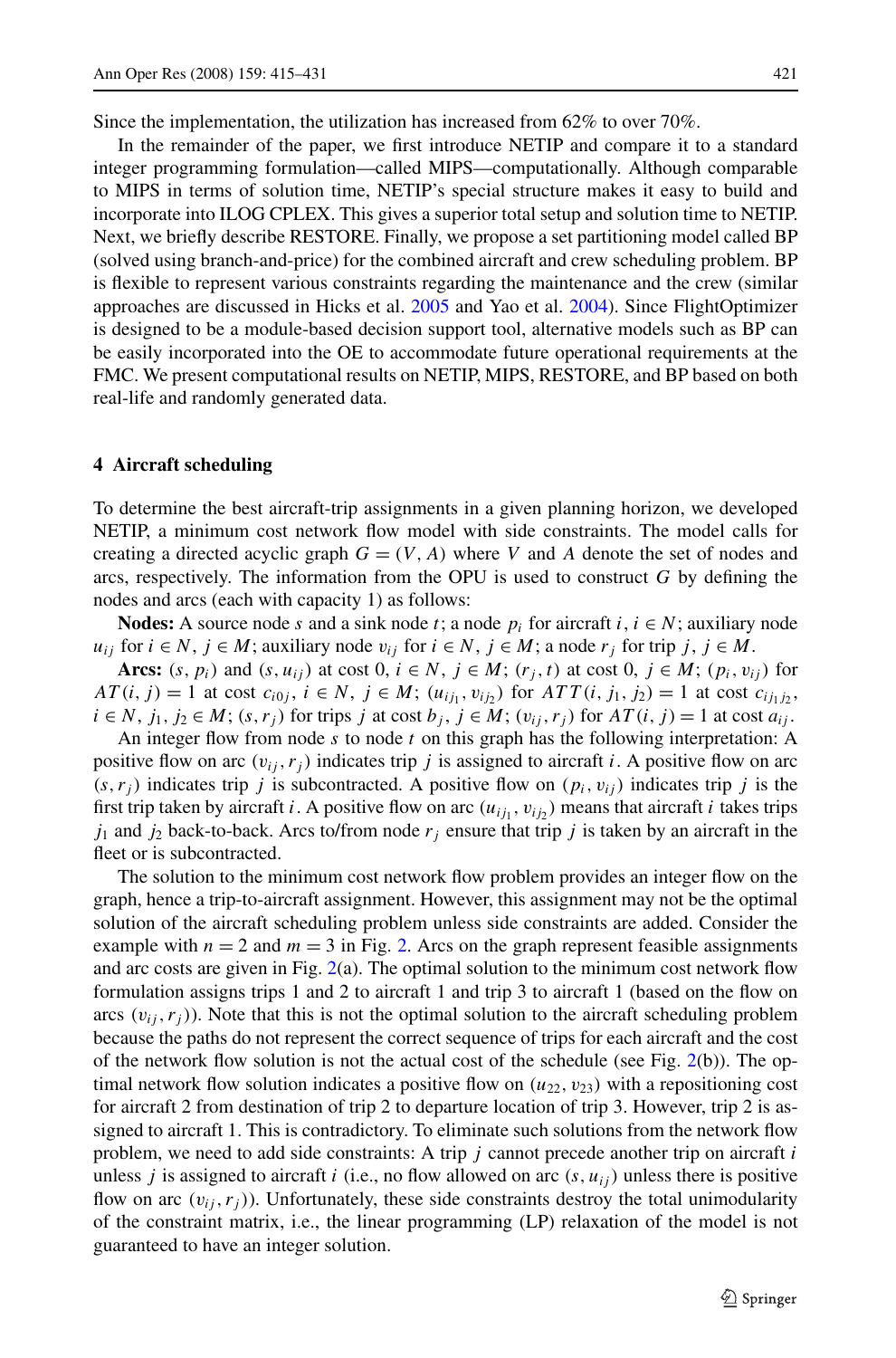<span id="page-6-0"></span>Since the implementation, the utilization has increased from 62% to over 70%.

In the remainder of the paper, we first introduce NETIP and compare it to a standard integer programming formulation—called MIPS—computationally. Although comparable to MIPS in terms of solution time, NETIP's special structure makes it easy to build and incorporate into ILOG CPLEX. This gives a superior total setup and solution time to NETIP. Next, we briefly describe RESTORE. Finally, we propose a set partitioning model called BP (solved using branch-and-price) for the combined aircraft and crew scheduling problem. BP is flexible to represent various constraints regarding the maintenance and the crew (similar approaches are discussed in Hicks et al. [2005](#page-16-0) and Yao et al. [2004](#page-16-0)). Since FlightOptimizer is designed to be a module-based decision support tool, alternative models such as BP can be easily incorporated into the OE to accommodate future operational requirements at the FMC. We present computational results on NETIP, MIPS, RESTORE, and BP based on both real-life and randomly generated data.

### **4 Aircraft scheduling**

To determine the best aircraft-trip assignments in a given planning horizon, we developed NETIP, a minimum cost network flow model with side constraints. The model calls for creating a directed acyclic graph  $G = (V, A)$  where V and A denote the set of nodes and arcs, respectively. The information from the OPU is used to construct *G* by defining the nodes and arcs (each with capacity 1) as follows:

**Nodes:** A source node *s* and a sink node *t*; a node  $p_i$  for aircraft *i*,  $i \in N$ ; auxiliary node *u*<sub>ij</sub> for *i* ∈ *N*, *j* ∈ *M*; auxiliary node  $v_{ij}$  for  $i \in N$ ,  $j \in M$ ; a node  $r_j$  for trip *j*,  $j \in M$ .

**Arcs:**  $(s, p_i)$  and  $(s, u_{ij})$  at cost 0,  $i \in N$ ,  $j \in M$ ;  $(r_j, t)$  at cost 0,  $j \in M$ ;  $(p_i, v_{ij})$  for  $AT(i, j) = 1$  at cost  $c_{i0j}$ ,  $i \in N$ ,  $j \in M$ ;  $(u_{ij_1}, v_{ij_2})$  for  $ATT(i, j_1, j_2) = 1$  at cost  $c_{ij_1j_2}$ ,  $i \in N$ ,  $j_1, j_2 \in M$ ;  $(s, r_i)$  for trips *j* at cost  $b_i, j \in M$ ;  $(v_{ij}, r_j)$  for  $AT(i, j) = 1$  at cost  $a_{ij}$ .

An integer flow from node *s* to node *t* on this graph has the following interpretation: A positive flow on arc  $(v_{ij}, r_j)$  indicates trip *j* is assigned to aircraft *i*. A positive flow on arc  $(s, r_i)$  indicates trip *j* is subcontracted. A positive flow on  $(p_i, v_{ij})$  indicates trip *j* is the first trip taken by aircraft *i*. A positive flow on arc  $(u_{ij}, v_{ij})$  means that aircraft *i* takes trips  $j_1$  and  $j_2$  back-to-back. Arcs to/from node  $r_j$  ensure that trip  $j$  is taken by an aircraft in the fleet or is subcontracted.

The solution to the minimum cost network flow problem provides an integer flow on the graph, hence a trip-to-aircraft assignment. However, this assignment may not be the optimal solution of the aircraft scheduling problem unless side constraints are added. Consider the example with  $n = 2$  and  $m = 3$  in Fig. [2.](#page-7-0) Arcs on the graph represent feasible assignments and arc costs are given in Fig.  $2(a)$  $2(a)$ . The optimal solution to the minimum cost network flow formulation assigns trips 1 and 2 to aircraft 1 and trip 3 to aircraft 1 (based on the flow on arcs  $(v_i, r_j)$ ). Note that this is not the optimal solution to the aircraft scheduling problem because the paths do not represent the correct sequence of trips for each aircraft and the cost of the network flow solution is not the actual cost of the schedule (see Fig.  $2(b)$  $2(b)$ ). The optimal network flow solution indicates a positive flow on  $(u_{22}, v_{23})$  with a repositioning cost for aircraft 2 from destination of trip 2 to departure location of trip 3. However, trip 2 is assigned to aircraft 1. This is contradictory. To eliminate such solutions from the network flow problem, we need to add side constraints: A trip *j* cannot precede another trip on aircraft *i* unless *j* is assigned to aircraft *i* (i.e., no flow allowed on arc  $(s, u_{ij})$  unless there is positive flow on arc  $(v_i, r_j)$ ). Unfortunately, these side constraints destroy the total unimodularity of the constraint matrix, i.e., the linear programming (LP) relaxation of the model is not guaranteed to have an integer solution.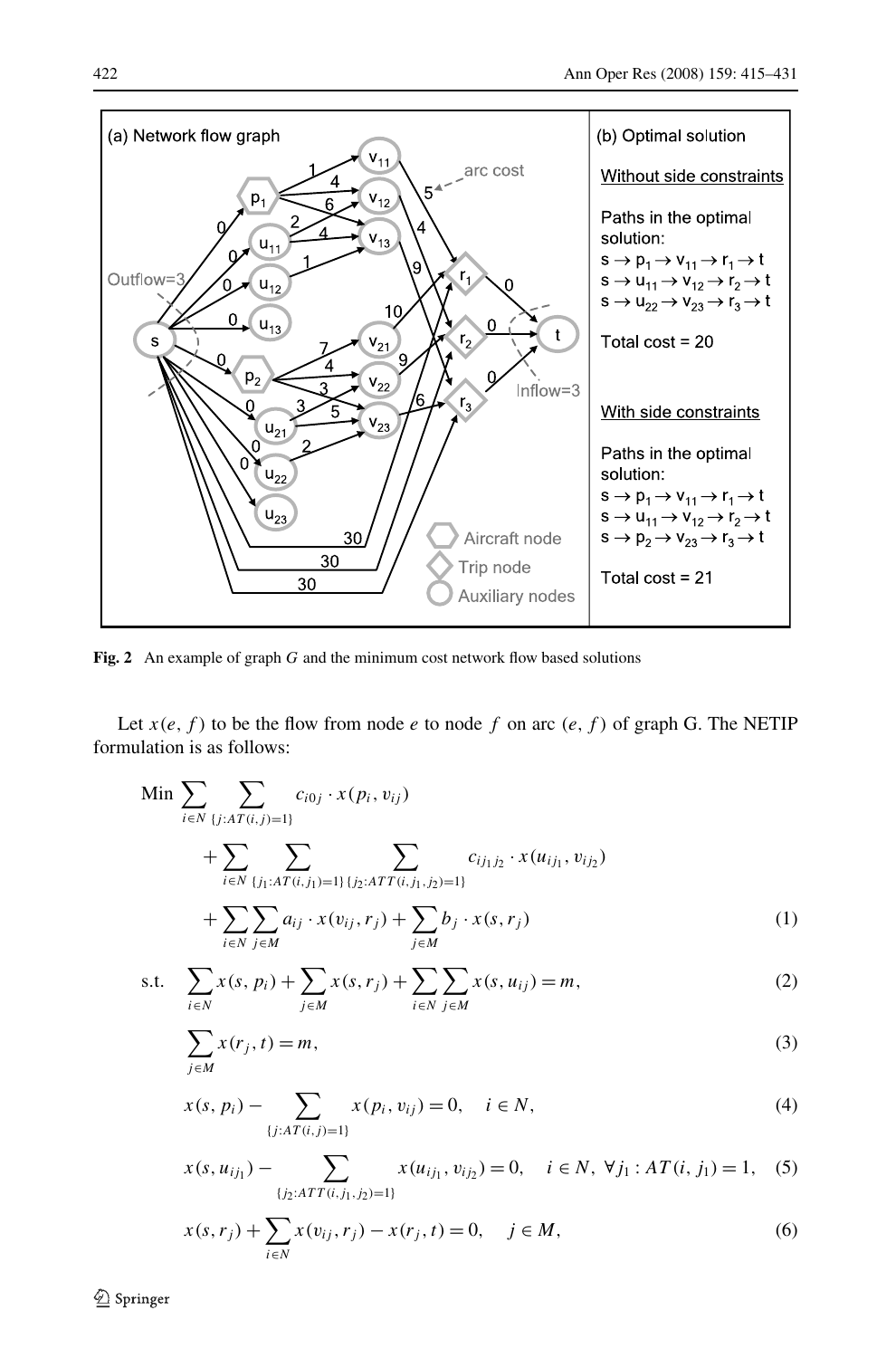<span id="page-7-0"></span>

**Fig. 2** An example of graph *G* and the minimum cost network flow based solutions

Let  $x(e, f)$  to be the flow from node *e* to node *f* on arc  $(e, f)$  of graph G. The NETIP formulation is as follows:

Min 
$$
\sum_{i \in N} \sum_{\{j: AT(i,j)=1\}} c_{i0j} \cdot x(p_i, v_{ij})
$$
  
+  $\sum_{i \in N} \sum_{\{j_1: AT(i,j_1)=1\}} \sum_{\{j_2:ATT(i,j_1,j_2)=1\}} c_{i j_1 j_2} \cdot x(u_{i j_1}, v_{i j_2})$   
+  $\sum_{i \in N} \sum_{j \in M} a_{ij} \cdot x(v_{ij}, r_j) + \sum_{j \in M} b_j \cdot x(s, r_j)$  (1)

s.t. 
$$
\sum_{i \in N} x(s, p_i) + \sum_{j \in M} x(s, r_j) + \sum_{i \in N} \sum_{j \in M} x(s, u_{ij}) = m,
$$
 (2)

$$
\sum_{j \in M} x(r_j, t) = m,\tag{3}
$$

$$
x(s, p_i) - \sum_{\{j: AT(i,j)=1\}} x(p_i, v_{ij}) = 0, \quad i \in N,
$$
\n(4)

$$
x(s, u_{ij_1}) - \sum_{\{j_2:ATT(i, j_1, j_2)=1\}} x(u_{ij_1}, v_{ij_2}) = 0, \quad i \in N, \ \forall j_1: AT(i, j_1) = 1, \tag{5}
$$

$$
x(s, r_j) + \sum_{i \in N} x(v_{ij}, r_j) - x(r_j, t) = 0, \quad j \in M,
$$
\n(6)

2 Springer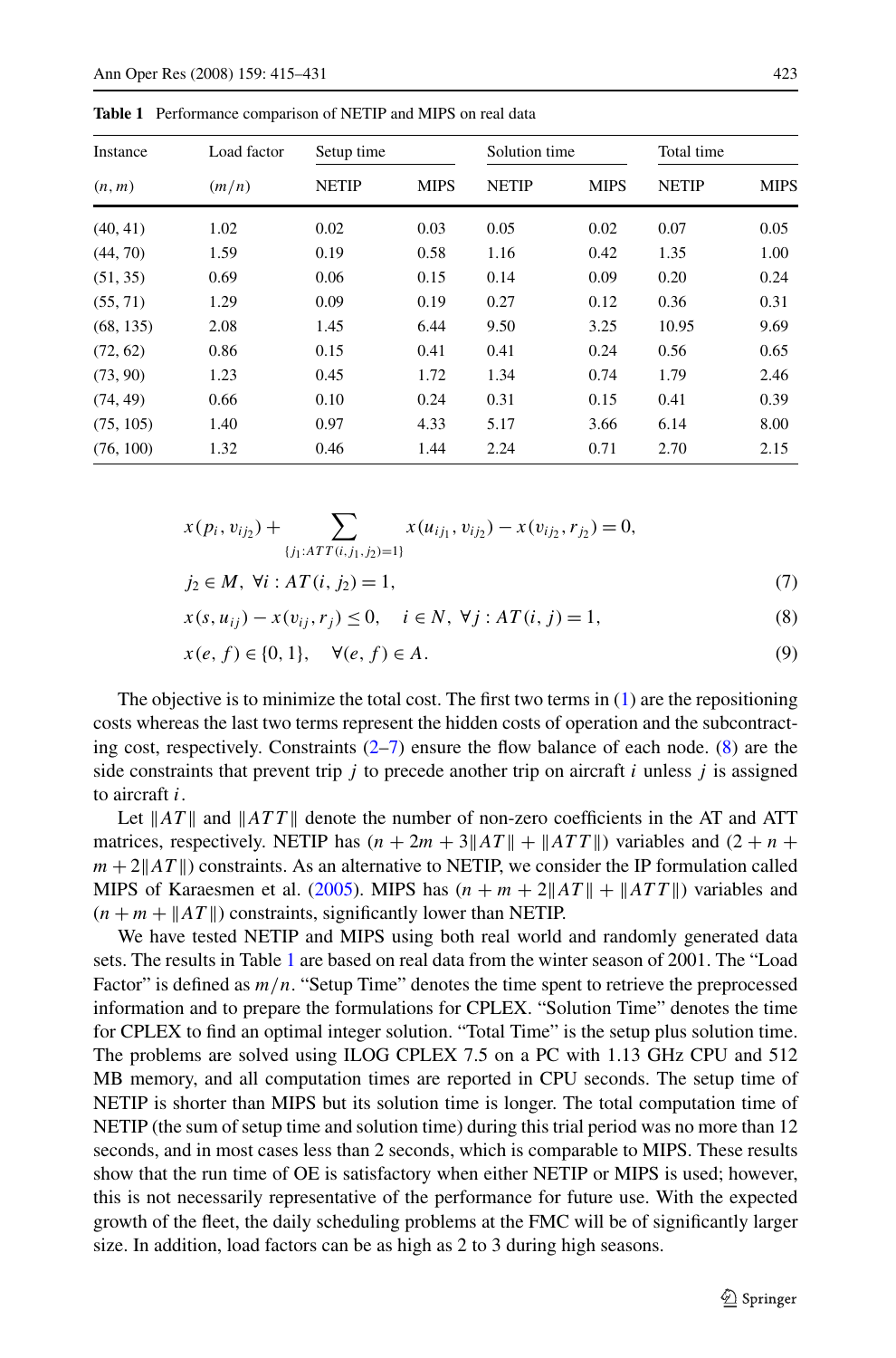| Instance  | Load factor | Setup time   |             | Solution time |             | Total time   |             |
|-----------|-------------|--------------|-------------|---------------|-------------|--------------|-------------|
| (n, m)    | (m/n)       | <b>NETIP</b> | <b>MIPS</b> | <b>NETIP</b>  | <b>MIPS</b> | <b>NETIP</b> | <b>MIPS</b> |
| (40, 41)  | 1.02        | 0.02         | 0.03        | 0.05          | 0.02        | 0.07         | 0.05        |
| (44, 70)  | 1.59        | 0.19         | 0.58        | 1.16          | 0.42        | 1.35         | 1.00        |
| (51, 35)  | 0.69        | 0.06         | 0.15        | 0.14          | 0.09        | 0.20         | 0.24        |
| (55, 71)  | 1.29        | 0.09         | 0.19        | 0.27          | 0.12        | 0.36         | 0.31        |
| (68, 135) | 2.08        | 1.45         | 6.44        | 9.50          | 3.25        | 10.95        | 9.69        |
| (72, 62)  | 0.86        | 0.15         | 0.41        | 0.41          | 0.24        | 0.56         | 0.65        |
| (73, 90)  | 1.23        | 0.45         | 1.72        | 1.34          | 0.74        | 1.79         | 2.46        |
| (74, 49)  | 0.66        | 0.10         | 0.24        | 0.31          | 0.15        | 0.41         | 0.39        |
| (75, 105) | 1.40        | 0.97         | 4.33        | 5.17          | 3.66        | 6.14         | 8.00        |
| (76, 100) | 1.32        | 0.46         | 1.44        | 2.24          | 0.71        | 2.70         | 2.15        |

**Table 1** Performance comparison of NETIP and MIPS on real data

$$
x(p_i, v_{ij_2}) + \sum_{\{j_1:ATT(i,j_1,j_2)=1\}} x(u_{ij_1}, v_{ij_2}) - x(v_{ij_2}, r_{j_2}) = 0,
$$

$$
j_2 \in M, \forall i : AT(i, j_2) = 1,
$$
 (7)

$$
x(s, u_{ij}) - x(v_{ij}, r_j) \le 0, \quad i \in N, \ \forall j : AT(i, j) = 1,
$$
\n(8)

$$
x(e, f) \in \{0, 1\}, \quad \forall (e, f) \in A. \tag{9}
$$

The objective is to minimize the total cost. The first two terms in  $(1)$  $(1)$  are the repositioning costs whereas the last two terms represent the hidden costs of operation and the subcontracting cost, respectively. Constraints  $(2-7)$  $(2-7)$  ensure the flow balance of each node. (8) are the side constraints that prevent trip  $j$  to precede another trip on aircraft  $i$  unless  $j$  is assigned to aircraft *i*.

Let  $||AT||$  and  $||ATT||$  denote the number of non-zero coefficients in the AT and ATT matrices, respectively. NETIP has  $(n + 2m + 3||AT|| + ||ATT||)$  variables and  $(2 + n +$  $m + 2||AT||$  constraints. As an alternative to NETIP, we consider the IP formulation called MIPS of Karaesmen et al. [\(2005](#page-16-0)). MIPS has  $(n + m + 2||AT|| + ||ATT||)$  variables and  $(n + m + ||AT||)$  constraints, significantly lower than NETIP.

We have tested NETIP and MIPS using both real world and randomly generated data sets. The results in Table 1 are based on real data from the winter season of 2001. The "Load Factor" is defined as *m/n*. "Setup Time" denotes the time spent to retrieve the preprocessed information and to prepare the formulations for CPLEX. "Solution Time" denotes the time for CPLEX to find an optimal integer solution. "Total Time" is the setup plus solution time. The problems are solved using ILOG CPLEX 7.5 on a PC with 1.13 GHz CPU and 512 MB memory, and all computation times are reported in CPU seconds. The setup time of NETIP is shorter than MIPS but its solution time is longer. The total computation time of NETIP (the sum of setup time and solution time) during this trial period was no more than 12 seconds, and in most cases less than 2 seconds, which is comparable to MIPS. These results show that the run time of OE is satisfactory when either NETIP or MIPS is used; however, this is not necessarily representative of the performance for future use. With the expected growth of the fleet, the daily scheduling problems at the FMC will be of significantly larger size. In addition, load factors can be as high as 2 to 3 during high seasons.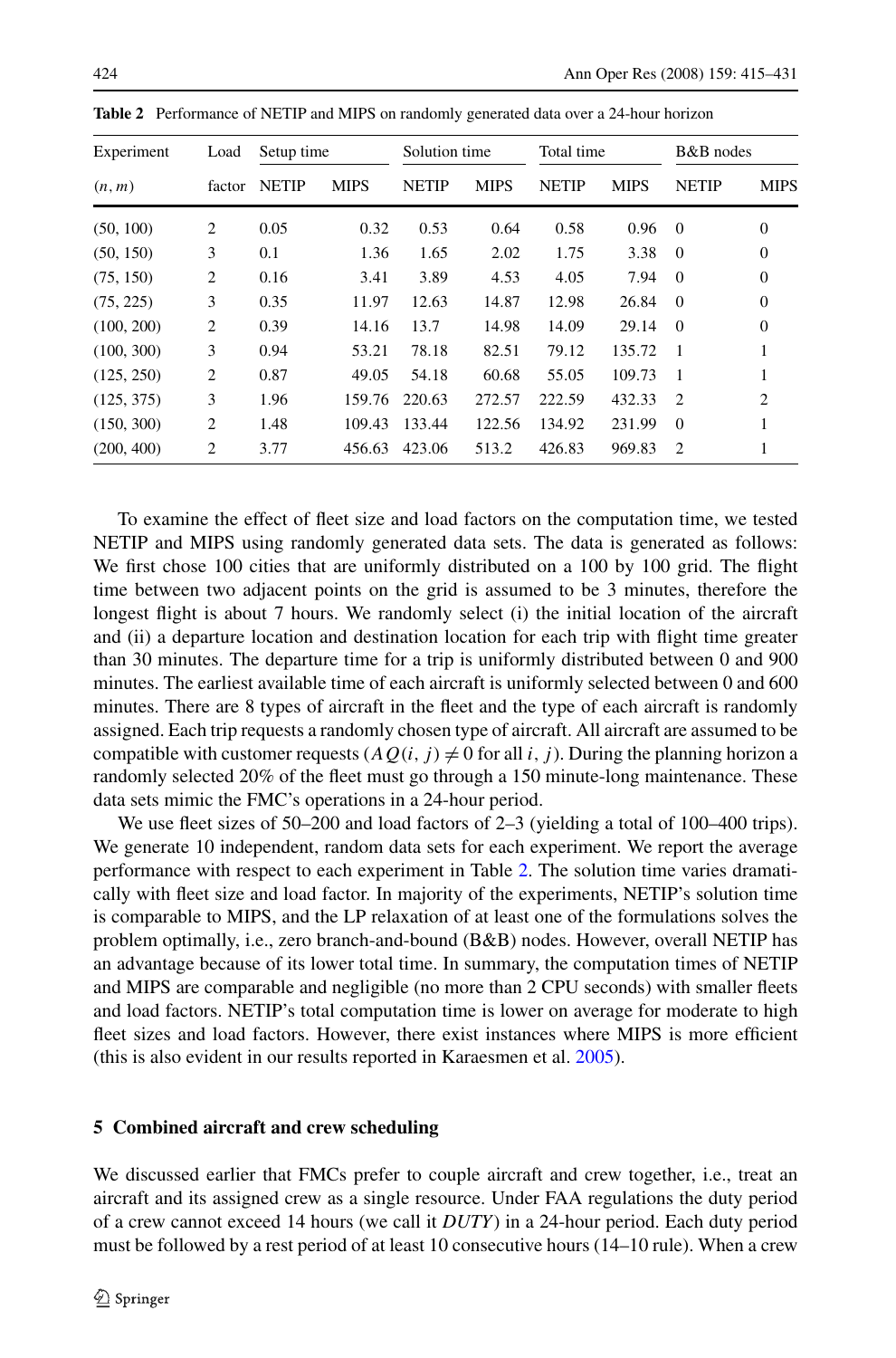| Experiment | Load           | Setup time   |             | Solution time |             | Total time   |             | B&B nodes      |                |
|------------|----------------|--------------|-------------|---------------|-------------|--------------|-------------|----------------|----------------|
| (n, m)     | factor         | <b>NETIP</b> | <b>MIPS</b> | <b>NETIP</b>  | <b>MIPS</b> | <b>NETIP</b> | <b>MIPS</b> | <b>NETIP</b>   | <b>MIPS</b>    |
| (50, 100)  | 2              | 0.05         | 0.32        | 0.53          | 0.64        | 0.58         | 0.96        | $\Omega$       | $\Omega$       |
| (50, 150)  | 3              | 0.1          | 1.36        | 1.65          | 2.02        | 1.75         | 3.38        | $\Omega$       | $\mathbf{0}$   |
| (75, 150)  | $\overline{c}$ | 0.16         | 3.41        | 3.89          | 4.53        | 4.05         | 7.94        | $\theta$       | $\mathbf{0}$   |
| (75, 225)  | 3              | 0.35         | 11.97       | 12.63         | 14.87       | 12.98        | 26.84       | $\Omega$       | $\Omega$       |
| (100, 200) | 2              | 0.39         | 14.16       | 13.7          | 14.98       | 14.09        | 29.14       | $\Omega$       | $\Omega$       |
| (100, 300) | 3              | 0.94         | 53.21       | 78.18         | 82.51       | 79.12        | 135.72      | - 1            |                |
| (125, 250) | $\overline{2}$ | 0.87         | 49.05       | 54.18         | 60.68       | 55.05        | 109.73      | $\overline{1}$ |                |
| (125, 375) | 3              | 1.96         | 159.76      | 220.63        | 272.57      | 222.59       | 432.33      | $\overline{2}$ | $\overline{c}$ |
| (150, 300) | 2              | 1.48         | 109.43      | 133.44        | 122.56      | 134.92       | 231.99      | $\Omega$       |                |
| (200, 400) | 2              | 3.77         | 456.63      | 423.06        | 513.2       | 426.83       | 969.83      | 2              |                |

<span id="page-9-0"></span>**Table 2** Performance of NETIP and MIPS on randomly generated data over a 24-hour horizon

To examine the effect of fleet size and load factors on the computation time, we tested NETIP and MIPS using randomly generated data sets. The data is generated as follows: We first chose 100 cities that are uniformly distributed on a 100 by 100 grid. The flight time between two adjacent points on the grid is assumed to be 3 minutes, therefore the longest flight is about 7 hours. We randomly select (i) the initial location of the aircraft and (ii) a departure location and destination location for each trip with flight time greater than 30 minutes. The departure time for a trip is uniformly distributed between 0 and 900 minutes. The earliest available time of each aircraft is uniformly selected between 0 and 600 minutes. There are 8 types of aircraft in the fleet and the type of each aircraft is randomly assigned. Each trip requests a randomly chosen type of aircraft. All aircraft are assumed to be compatible with customer requests  $(AQ(i, j) \neq 0$  for all *i*, *j*). During the planning horizon a randomly selected 20% of the fleet must go through a 150 minute-long maintenance. These data sets mimic the FMC's operations in a 24-hour period.

We use fleet sizes of 50–200 and load factors of 2–3 (yielding a total of 100–400 trips). We generate 10 independent, random data sets for each experiment. We report the average performance with respect to each experiment in Table 2. The solution time varies dramatically with fleet size and load factor. In majority of the experiments, NETIP's solution time is comparable to MIPS, and the LP relaxation of at least one of the formulations solves the problem optimally, i.e., zero branch-and-bound (B&B) nodes. However, overall NETIP has an advantage because of its lower total time. In summary, the computation times of NETIP and MIPS are comparable and negligible (no more than 2 CPU seconds) with smaller fleets and load factors. NETIP's total computation time is lower on average for moderate to high fleet sizes and load factors. However, there exist instances where MIPS is more efficient (this is also evident in our results reported in Karaesmen et al. [2005](#page-16-0)).

## **5 Combined aircraft and crew scheduling**

We discussed earlier that FMCs prefer to couple aircraft and crew together, i.e., treat an aircraft and its assigned crew as a single resource. Under FAA regulations the duty period of a crew cannot exceed 14 hours (we call it *DUTY*) in a 24-hour period. Each duty period must be followed by a rest period of at least 10 consecutive hours (14–10 rule). When a crew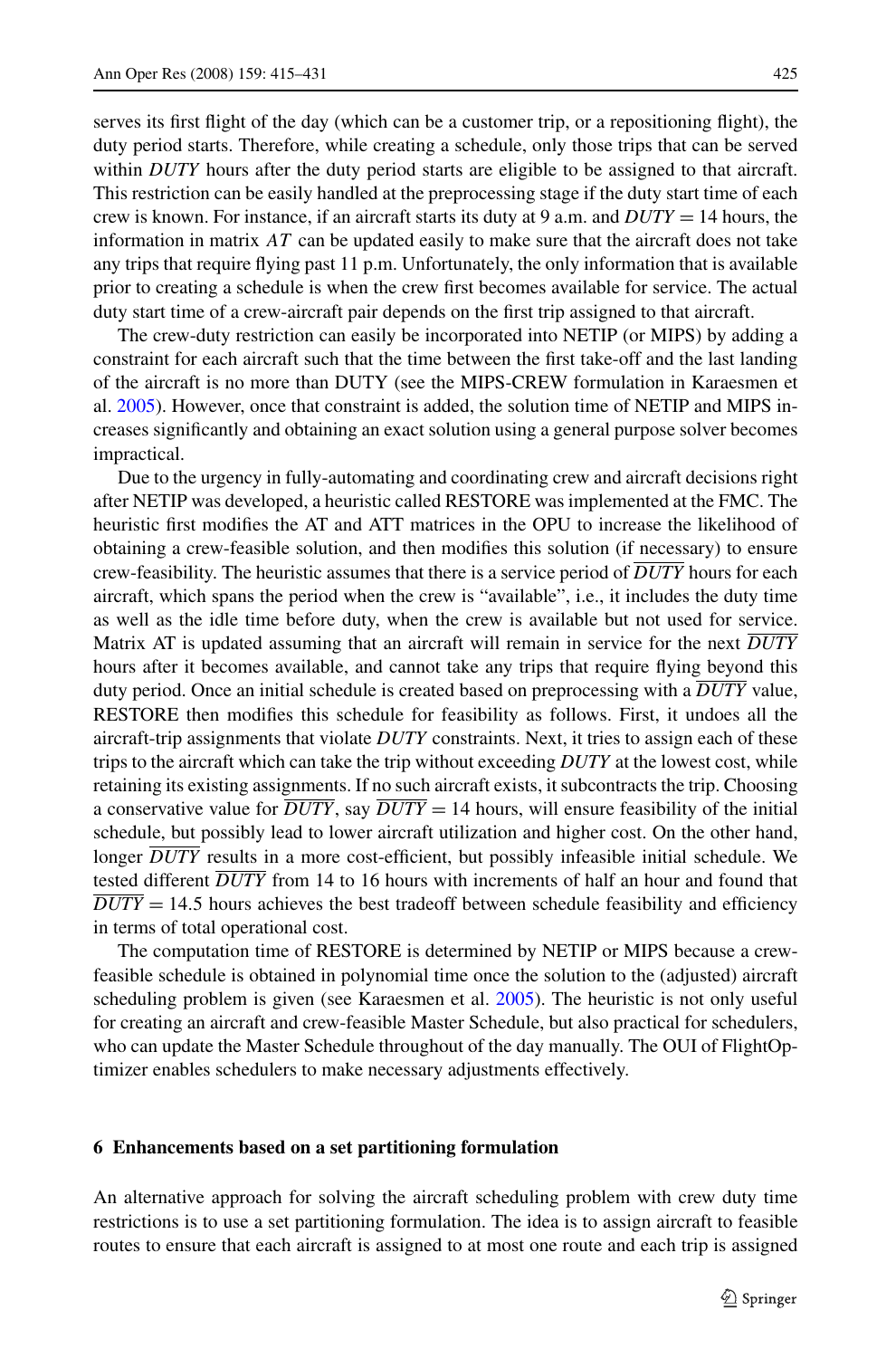<span id="page-10-0"></span>serves its first flight of the day (which can be a customer trip, or a repositioning flight), the duty period starts. Therefore, while creating a schedule, only those trips that can be served within *DUTY* hours after the duty period starts are eligible to be assigned to that aircraft. This restriction can be easily handled at the preprocessing stage if the duty start time of each crew is known. For instance, if an aircraft starts its duty at 9 a.m. and  $DUTY = 14$  hours, the information in matrix *AT* can be updated easily to make sure that the aircraft does not take any trips that require flying past 11 p.m. Unfortunately, the only information that is available prior to creating a schedule is when the crew first becomes available for service. The actual

The crew-duty restriction can easily be incorporated into NETIP (or MIPS) by adding a constraint for each aircraft such that the time between the first take-off and the last landing of the aircraft is no more than DUTY (see the MIPS-CREW formulation in Karaesmen et al. [2005](#page-16-0)). However, once that constraint is added, the solution time of NETIP and MIPS increases significantly and obtaining an exact solution using a general purpose solver becomes impractical.

duty start time of a crew-aircraft pair depends on the first trip assigned to that aircraft.

Due to the urgency in fully-automating and coordinating crew and aircraft decisions right after NETIP was developed, a heuristic called RESTORE was implemented at the FMC. The heuristic first modifies the AT and ATT matrices in the OPU to increase the likelihood of obtaining a crew-feasible solution, and then modifies this solution (if necessary) to ensure crew-feasibility. The heuristic assumes that there is a service period of *DUTY* hours for each aircraft, which spans the period when the crew is "available", i.e., it includes the duty time as well as the idle time before duty, when the crew is available but not used for service. Matrix AT is updated assuming that an aircraft will remain in service for the next *DUTY* hours after it becomes available, and cannot take any trips that require flying beyond this duty period. Once an initial schedule is created based on preprocessing with a *DUTY* value, RESTORE then modifies this schedule for feasibility as follows. First, it undoes all the aircraft-trip assignments that violate *DUTY* constraints. Next, it tries to assign each of these trips to the aircraft which can take the trip without exceeding *DUTY* at the lowest cost, while retaining its existing assignments. If no such aircraft exists, it subcontracts the trip. Choosing a conservative value for  $\overline{DUTY}$ , say  $\overline{DUTY} = 14$  hours, will ensure feasibility of the initial schedule, but possibly lead to lower aircraft utilization and higher cost. On the other hand, longer *DUTY* results in a more cost-efficient, but possibly infeasible initial schedule. We tested different *DUTY* from 14 to 16 hours with increments of half an hour and found that  $\overline{DUTY}$  = 14.5 hours achieves the best tradeoff between schedule feasibility and efficiency in terms of total operational cost.

The computation time of RESTORE is determined by NETIP or MIPS because a crewfeasible schedule is obtained in polynomial time once the solution to the (adjusted) aircraft scheduling problem is given (see Karaesmen et al. [2005](#page-16-0)). The heuristic is not only useful for creating an aircraft and crew-feasible Master Schedule, but also practical for schedulers, who can update the Master Schedule throughout of the day manually. The OUI of FlightOptimizer enables schedulers to make necessary adjustments effectively.

#### **6 Enhancements based on a set partitioning formulation**

An alternative approach for solving the aircraft scheduling problem with crew duty time restrictions is to use a set partitioning formulation. The idea is to assign aircraft to feasible routes to ensure that each aircraft is assigned to at most one route and each trip is assigned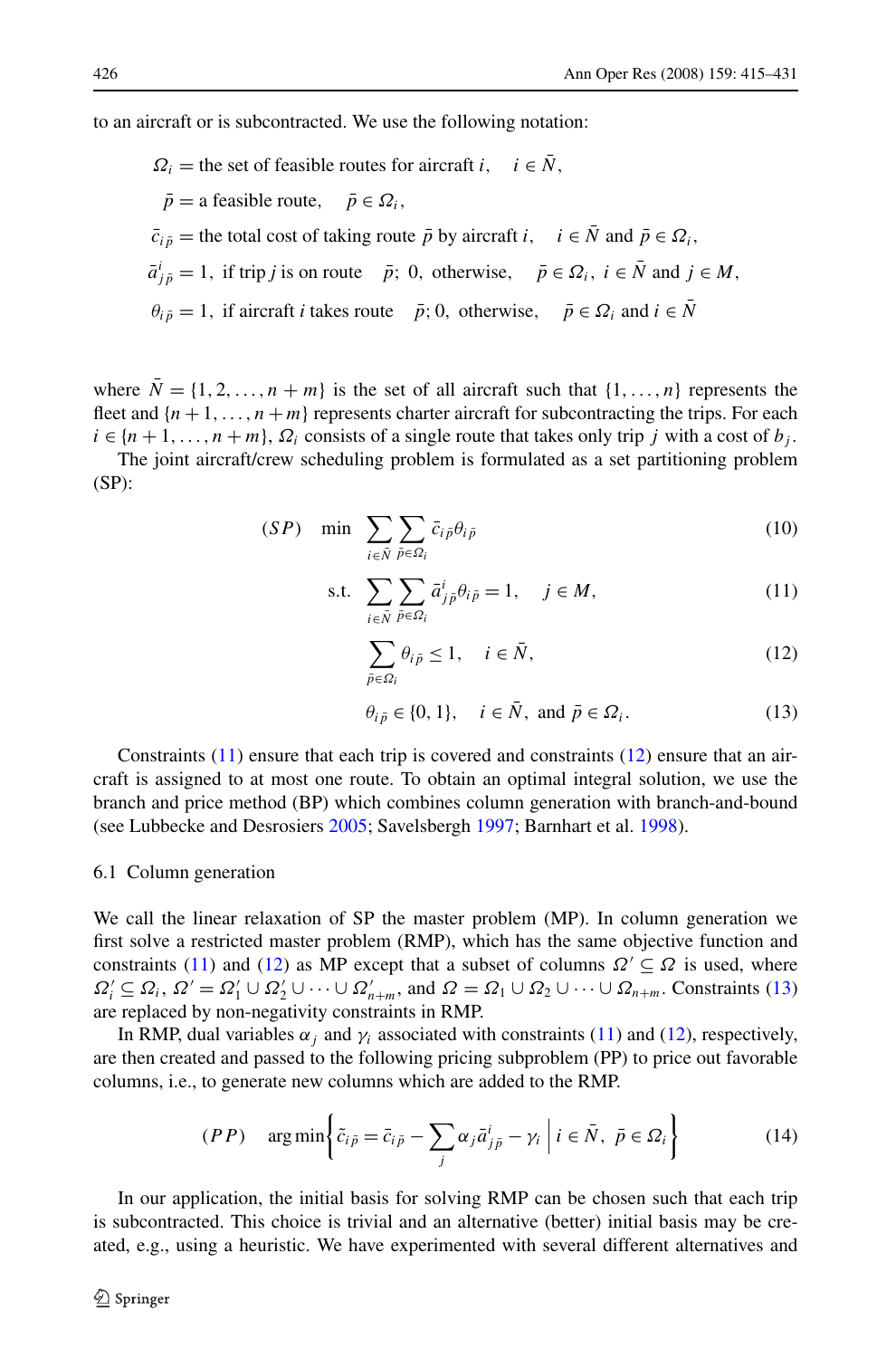to an aircraft or is subcontracted. We use the following notation:

$$
\Omega_i = \text{the set of feasible routes for aircraft } i, \quad i \in \overline{N},
$$
\n
$$
\overline{p} = \text{a feasible route}, \quad \overline{p} \in \Omega_i,
$$
\n
$$
\overline{c}_{i\overline{p}} = \text{the total cost of taking route } \overline{p} \text{ by aircraft } i, \quad i \in \overline{N} \text{ and } \overline{p} \in \Omega_i,
$$
\n
$$
\overline{a}_{j\overline{p}}^i = 1, \text{ if trip } j \text{ is on route } \overline{p}; \ 0, \text{ otherwise}, \quad \overline{p} \in \Omega_i, \ i \in \overline{N} \text{ and } j \in M,
$$
\n
$$
\theta_{i\overline{p}} = 1, \text{ if aircraft } i \text{ takes route } \overline{p}; 0, \text{ otherwise}, \quad \overline{p} \in \Omega_i \text{ and } i \in \overline{N}
$$

where  $\overline{N} = \{1, 2, ..., n + m\}$  is the set of all aircraft such that  $\{1, ..., n\}$  represents the fleet and  $\{n+1,\ldots,n+m\}$  represents charter aircraft for subcontracting the trips. For each  $i \in \{n+1,\ldots,n+m\}, \Omega_i$  consists of a single route that takes only trip *j* with a cost of  $b_i$ .

The joint aircraft/crew scheduling problem is formulated as a set partitioning problem (SP):

$$
(SP) \quad \min \quad \sum_{i \in \tilde{N}} \sum_{\tilde{p} \in \Omega_i} \bar{c}_{i\tilde{p}} \theta_{i\tilde{p}} \tag{10}
$$

s.t. 
$$
\sum_{i \in \tilde{N}} \sum_{\tilde{p} \in \Omega_i} \tilde{a}_{j\tilde{p}}^i \theta_{i\tilde{p}} = 1, \quad j \in M,
$$
 (11)

$$
\sum_{\bar{p}\in\Omega_i}\theta_{i\bar{p}}\leq 1,\quad i\in\bar{N},\tag{12}
$$

$$
\theta_{i\bar{p}} \in \{0, 1\}, \quad i \in \bar{N}, \text{ and } \bar{p} \in \Omega_i. \tag{13}
$$

Constraints (11) ensure that each trip is covered and constraints (12) ensure that an aircraft is assigned to at most one route. To obtain an optimal integral solution, we use the branch and price method (BP) which combines column generation with branch-and-bound (see Lubbecke and Desrosiers [2005](#page-16-0); Savelsbergh [1997](#page-16-0); Barnhart et al. [1998\)](#page-16-0).

### 6.1 Column generation

We call the linear relaxation of SP the master problem (MP). In column generation we first solve a restricted master problem (RMP), which has the same objective function and constraints (11) and (12) as MP except that a subset of columns  $\Omega' \subseteq \Omega$  is used, where  $\Omega'_i \subseteq \Omega_i$ ,  $\Omega' = \Omega'_1 \cup \Omega'_2 \cup \cdots \cup \Omega'_{n+m}$ , and  $\Omega = \Omega_1 \cup \Omega_2 \cup \cdots \cup \Omega_{n+m}$ . Constraints (13) are replaced by non-negativity constraints in RMP.

In RMP, dual variables  $\alpha_j$  and  $\gamma_i$  associated with constraints (11) and (12), respectively, are then created and passed to the following pricing subproblem (PP) to price out favorable columns, i.e., to generate new columns which are added to the RMP.

$$
(PP) \quad \arg\min \left\{ \tilde{c}_{i\bar{p}} = \bar{c}_{i\bar{p}} - \sum_{j} \alpha_{j} \bar{a}_{j\bar{p}}^{i} - \gamma_{i} \middle| i \in \bar{N}, \ \bar{p} \in \Omega_{i} \right\}
$$
 (14)

In our application, the initial basis for solving RMP can be chosen such that each trip is subcontracted. This choice is trivial and an alternative (better) initial basis may be created, e.g., using a heuristic. We have experimented with several different alternatives and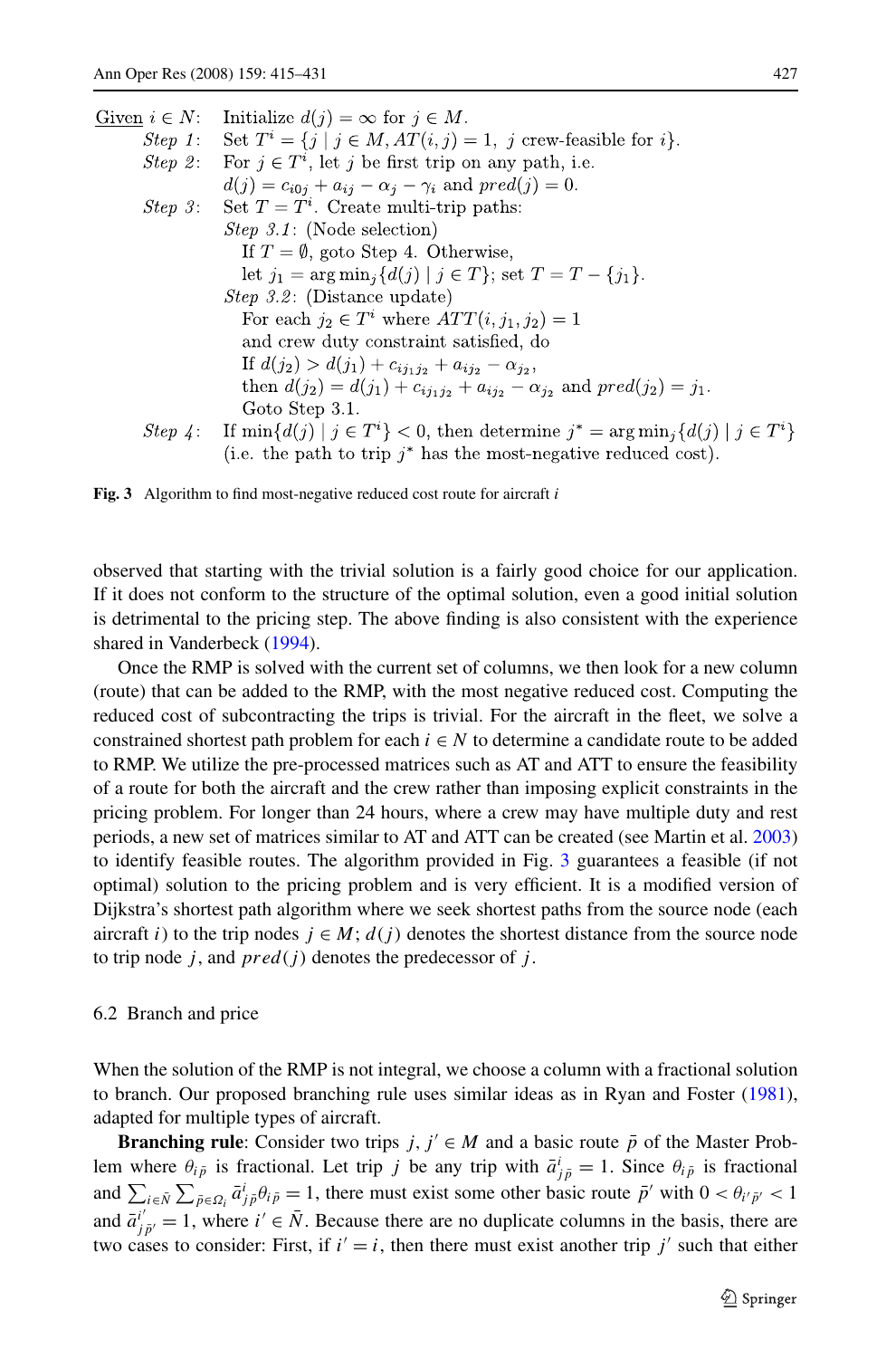| Given $i \in N$ : | Initialize $d(j) = \infty$ for $j \in M$ .                                                          |
|-------------------|-----------------------------------------------------------------------------------------------------|
|                   | Step 1: Set $T^i = \{j \mid j \in M, AT(i, j) = 1, j \text{ crew-feasible for } i\}.$               |
| Step 2:           | For $j \in T^i$ , let j be first trip on any path, i.e.                                             |
|                   | $d(j) = c_{i0j} + a_{ij} - \alpha_j - \gamma_i$ and $pred(j) = 0$ .                                 |
| Step 3:           | Set $T = Ti$ . Create multi-trip paths:                                                             |
|                   | <i>Step 3.1</i> : (Node selection)                                                                  |
|                   | If $T = \emptyset$ , goto Step 4. Otherwise,                                                        |
|                   | let $j_1 = \arg \min_j \{d(j)   j \in T\}$ ; set $T = T - \{j_1\}$ .                                |
|                   | <i>Step 3.2</i> : (Distance update)                                                                 |
|                   | For each $j_2 \in T^i$ where $ATT(i, j_1, j_2) = 1$                                                 |
|                   | and crew duty constraint satisfied, do                                                              |
|                   | If $d(j_2) > d(j_1) + c_{i j_1 j_2} + a_{i j_2} - \alpha_{j_2}$                                     |
|                   | then $d(j_2) = d(j_1) + c_{i j_1 j_2} + a_{i j_2} - \alpha_{j_2}$ and $pred(j_2) = j_1$ .           |
|                   | Goto Step 3.1.                                                                                      |
|                   | Step 4: If $\min\{d(j)   j \in T^i\} < 0$ , then determine $j^* = \arg \min_j \{d(j)   j \in T^i\}$ |
|                   | (i.e. the path to trip $j^*$ has the most-negative reduced cost).                                   |

**Fig. 3** Algorithm to find most-negative reduced cost route for aircraft *i*

observed that starting with the trivial solution is a fairly good choice for our application. If it does not conform to the structure of the optimal solution, even a good initial solution is detrimental to the pricing step. The above finding is also consistent with the experience shared in Vanderbeck ([1994\)](#page-16-0).

Once the RMP is solved with the current set of columns, we then look for a new column (route) that can be added to the RMP, with the most negative reduced cost. Computing the reduced cost of subcontracting the trips is trivial. For the aircraft in the fleet, we solve a constrained shortest path problem for each  $i \in N$  to determine a candidate route to be added to RMP. We utilize the pre-processed matrices such as AT and ATT to ensure the feasibility of a route for both the aircraft and the crew rather than imposing explicit constraints in the pricing problem. For longer than 24 hours, where a crew may have multiple duty and rest periods, a new set of matrices similar to AT and ATT can be created (see Martin et al. [2003](#page-16-0)) to identify feasible routes. The algorithm provided in Fig. 3 guarantees a feasible (if not optimal) solution to the pricing problem and is very efficient. It is a modified version of Dijkstra's shortest path algorithm where we seek shortest paths from the source node (each aircraft *i*) to the trip nodes  $j \in M$ ;  $d(j)$  denotes the shortest distance from the source node to trip node  $j$ , and  $pred(j)$  denotes the predecessor of  $j$ .

## 6.2 Branch and price

When the solution of the RMP is not integral, we choose a column with a fractional solution to branch. Our proposed branching rule uses similar ideas as in Ryan and Foster [\(1981](#page-16-0)), adapted for multiple types of aircraft.

**Branching rule**: Consider two trips *j, j'*  $\in$  *M* and a basic route  $\bar{p}$  of the Master Problem where  $\theta_{i\bar{p}}$  is fractional. Let trip *j* be any trip with  $\bar{a}^i_{j\bar{p}} = 1$ . Since  $\theta_{i\bar{p}}$  is fractional and  $\sum_{i \in \bar{N}} \sum_{\bar{p} \in \Omega_i} \bar{a}_{j\bar{p}}^i \theta_{i\bar{p}} = 1$ , there must exist some other basic route  $\bar{p}'$  with  $0 < \theta_{i'\bar{p}'} < 1$ and  $\bar{a}^{i'}_{j\bar{p}'} = 1$ , where  $i' \in \bar{N}$ . Because there are no duplicate columns in the basis, there are two cases to consider: First, if  $i' = i$ , then there must exist another trip  $j'$  such that either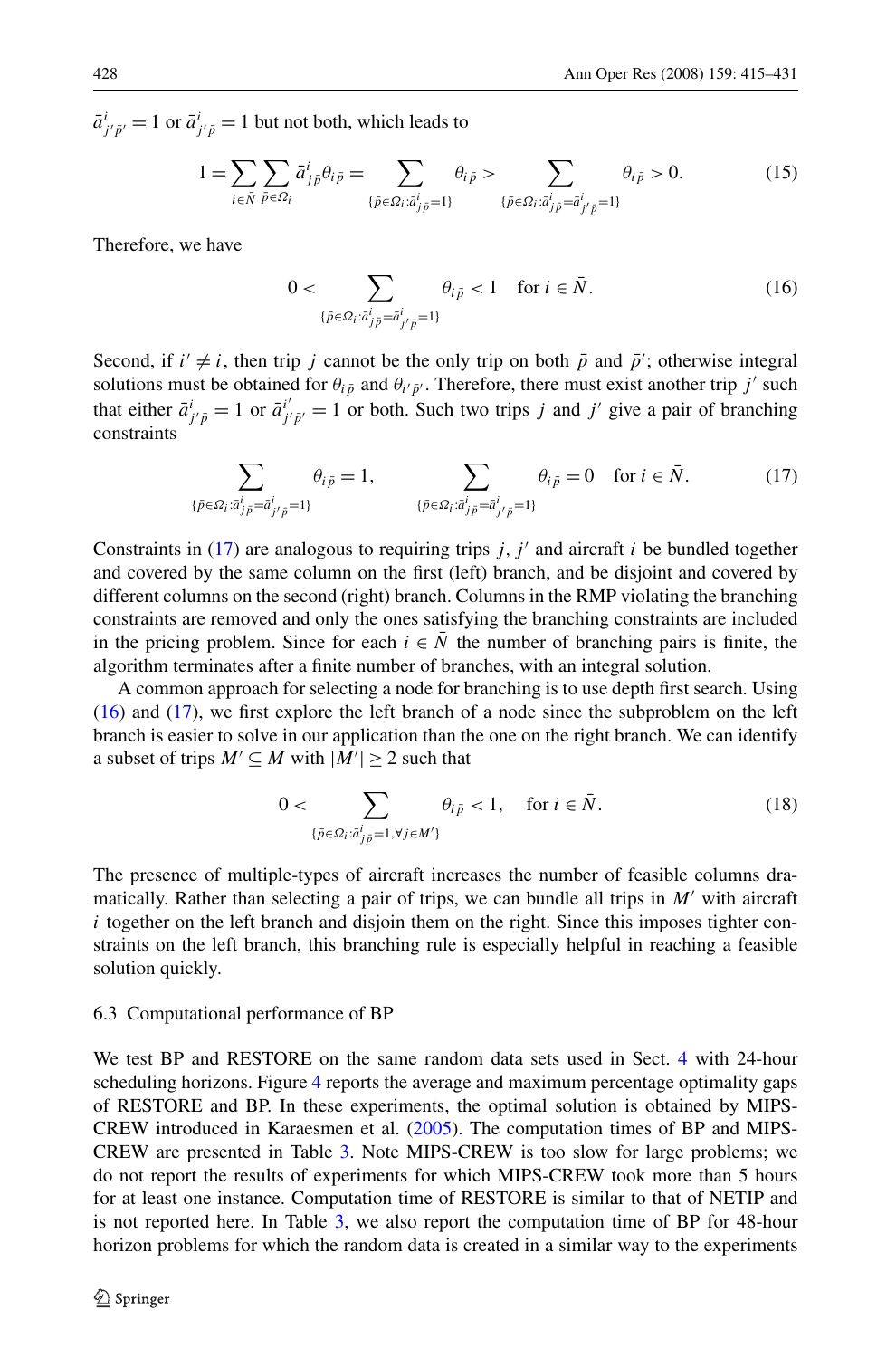$\bar{a}^i_{j'p'} = 1$  or  $\bar{a}^i_{j'p} = 1$  but not both, which leads to

$$
1 = \sum_{i \in \bar{N}} \sum_{\bar{p} \in \Omega_i} \bar{a}_{j\bar{p}}^i \theta_{i\bar{p}} = \sum_{\{\bar{p} \in \Omega_i : \bar{a}_{j\bar{p}}^i = 1\}} \theta_{i\bar{p}} > \sum_{\{\bar{p} \in \Omega_i : \bar{a}_{j\bar{p}}^i = \bar{a}_{j'\bar{p}}^i = 1\}} \theta_{i\bar{p}} > 0.
$$
 (15)

Therefore, we have

$$
0 < \sum_{\{\bar{p} \in \Omega_i : \bar{a}_{j\bar{p}}^i = \bar{a}_{j'\bar{p}}^i = 1\}} \theta_{i\bar{p}} < 1 \quad \text{for } i \in \bar{N}.\tag{16}
$$

Second, if  $i' \neq i$ , then trip *j* cannot be the only trip on both  $\bar{p}$  and  $\bar{p}'$ ; otherwise integral solutions must be obtained for  $\theta_{i\bar{p}}$  and  $\theta_{i'\bar{p}'}$ . Therefore, there must exist another trip *j'* such that either  $\bar{a}^i_{j'p} = 1$  or  $\bar{a}^{i'}_{j'p'} = 1$  or both. Such two trips *j* and *j'* give a pair of branching constraints

$$
\sum_{\{\bar{p}\in\Omega_i:\bar{a}^i_{j\bar{p}}=\bar{a}^i_{j'\bar{p}}=1\}}\theta_{i\bar{p}}=1,\qquad\sum_{\{\bar{p}\in\Omega_i:\bar{a}^i_{j\bar{p}}=\bar{a}^i_{j'\bar{p}}=1\}}\theta_{i\bar{p}}=0\quad\text{for }i\in\bar{N}.\tag{17}
$$

Constraints in  $(17)$  are analogous to requiring trips *j*, *j'* and aircraft *i* be bundled together and covered by the same column on the first (left) branch, and be disjoint and covered by different columns on the second (right) branch. Columns in the RMP violating the branching constraints are removed and only the ones satisfying the branching constraints are included in the pricing problem. Since for each  $i \in N$  the number of branching pairs is finite, the algorithm terminates after a finite number of branches, with an integral solution.

A common approach for selecting a node for branching is to use depth first search. Using (16) and (17), we first explore the left branch of a node since the subproblem on the left branch is easier to solve in our application than the one on the right branch. We can identify a subset of trips  $M' \subseteq M$  with  $|M'| \ge 2$  such that

$$
0 < \sum_{\{\bar{p}\in\Omega_i:\bar{a}^i_{j\bar{p}}=1,\forall j\in M'\}} \theta_{i\bar{p}} < 1, \quad \text{for } i \in \bar{N}.\tag{18}
$$

The presence of multiple-types of aircraft increases the number of feasible columns dramatically. Rather than selecting a pair of trips, we can bundle all trips in  $M'$  with aircraft *i* together on the left branch and disjoin them on the right. Since this imposes tighter constraints on the left branch, this branching rule is especially helpful in reaching a feasible solution quickly.

## 6.3 Computational performance of BP

We test BP and RESTORE on the same random data sets used in Sect. [4](#page-6-0) with 24-hour scheduling horizons. Figure [4](#page-14-0) reports the average and maximum percentage optimality gaps of RESTORE and BP. In these experiments, the optimal solution is obtained by MIPS-CREW introduced in Karaesmen et al. ([2005\)](#page-16-0). The computation times of BP and MIPS-CREW are presented in Table [3.](#page-14-0) Note MIPS-CREW is too slow for large problems; we do not report the results of experiments for which MIPS-CREW took more than 5 hours for at least one instance. Computation time of RESTORE is similar to that of NETIP and is not reported here. In Table [3,](#page-14-0) we also report the computation time of BP for 48-hour horizon problems for which the random data is created in a similar way to the experiments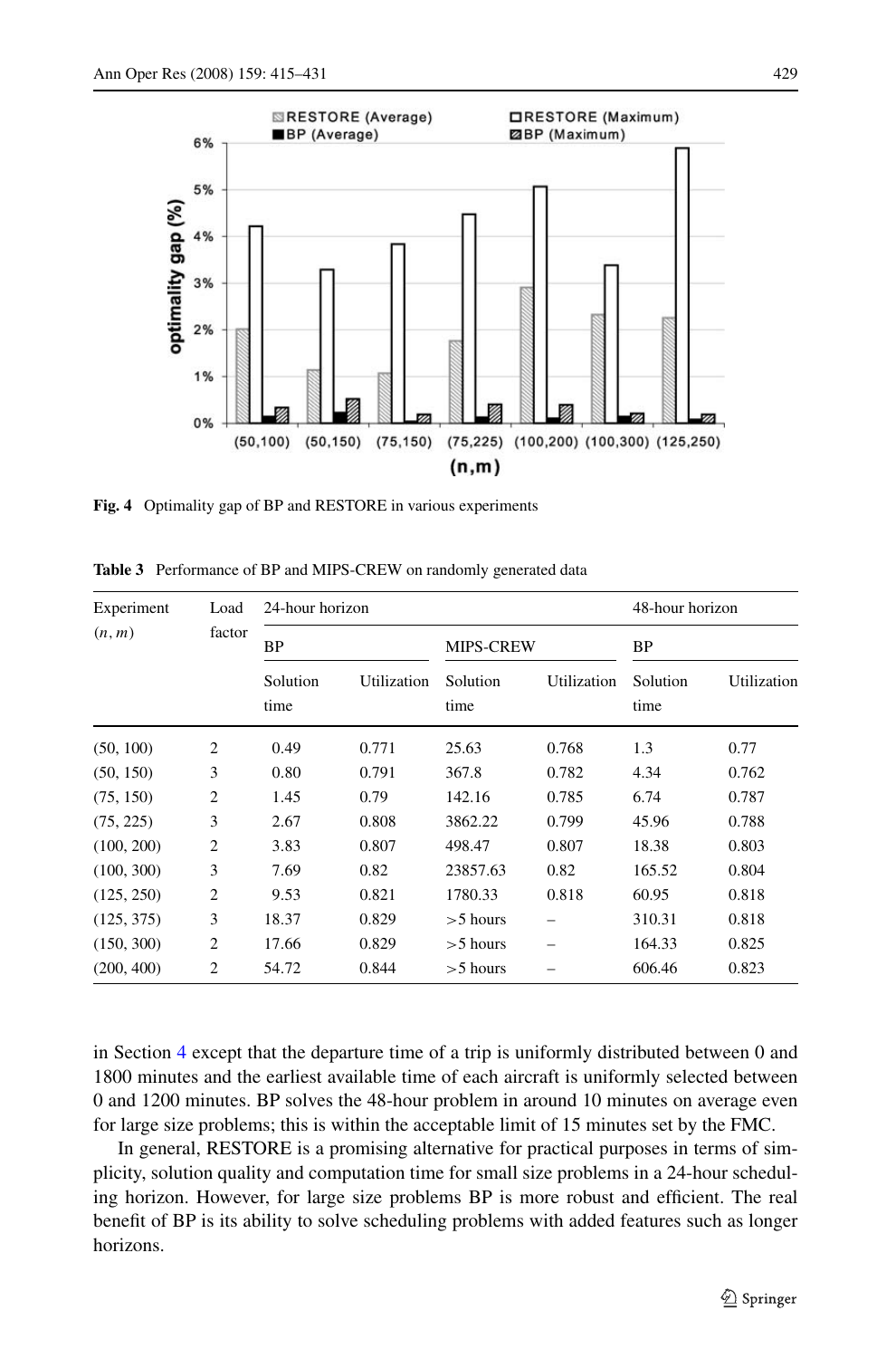<span id="page-14-0"></span>

**Fig. 4** Optimality gap of BP and RESTORE in various experiments

| Experiment<br>(n, m) | Load           | 24-hour horizon  |             | 48-hour horizon  |             |                  |             |
|----------------------|----------------|------------------|-------------|------------------|-------------|------------------|-------------|
|                      | factor         | BP               |             | <b>MIPS-CREW</b> |             | BP               |             |
|                      |                | Solution<br>time | Utilization | Solution<br>time | Utilization | Solution<br>time | Utilization |
| (50, 100)            | 2              | 0.49             | 0.771       | 25.63            | 0.768       | 1.3              | 0.77        |
| (50, 150)            | 3              | 0.80             | 0.791       | 367.8            | 0.782       | 4.34             | 0.762       |
| (75, 150)            | 2              | 1.45             | 0.79        | 142.16           | 0.785       | 6.74             | 0.787       |
| (75, 225)            | 3              | 2.67             | 0.808       | 3862.22          | 0.799       | 45.96            | 0.788       |
| (100, 200)           | $\overline{2}$ | 3.83             | 0.807       | 498.47           | 0.807       | 18.38            | 0.803       |
| (100, 300)           | 3              | 7.69             | 0.82        | 23857.63         | 0.82        | 165.52           | 0.804       |
| (125, 250)           | $\overline{2}$ | 9.53             | 0.821       | 1780.33          | 0.818       | 60.95            | 0.818       |
| (125, 375)           | 3              | 18.37            | 0.829       | $>$ 5 hours      |             | 310.31           | 0.818       |
| (150, 300)           | $\overline{2}$ | 17.66            | 0.829       | $>$ 5 hours      |             | 164.33           | 0.825       |
| (200, 400)           | $\overline{2}$ | 54.72            | 0.844       | $>$ 5 hours      |             | 606.46           | 0.823       |

**Table 3** Performance of BP and MIPS-CREW on randomly generated data

in Section [4](#page-6-0) except that the departure time of a trip is uniformly distributed between 0 and 1800 minutes and the earliest available time of each aircraft is uniformly selected between 0 and 1200 minutes. BP solves the 48-hour problem in around 10 minutes on average even for large size problems; this is within the acceptable limit of 15 minutes set by the FMC.

In general, RESTORE is a promising alternative for practical purposes in terms of simplicity, solution quality and computation time for small size problems in a 24-hour scheduling horizon. However, for large size problems BP is more robust and efficient. The real benefit of BP is its ability to solve scheduling problems with added features such as longer horizons.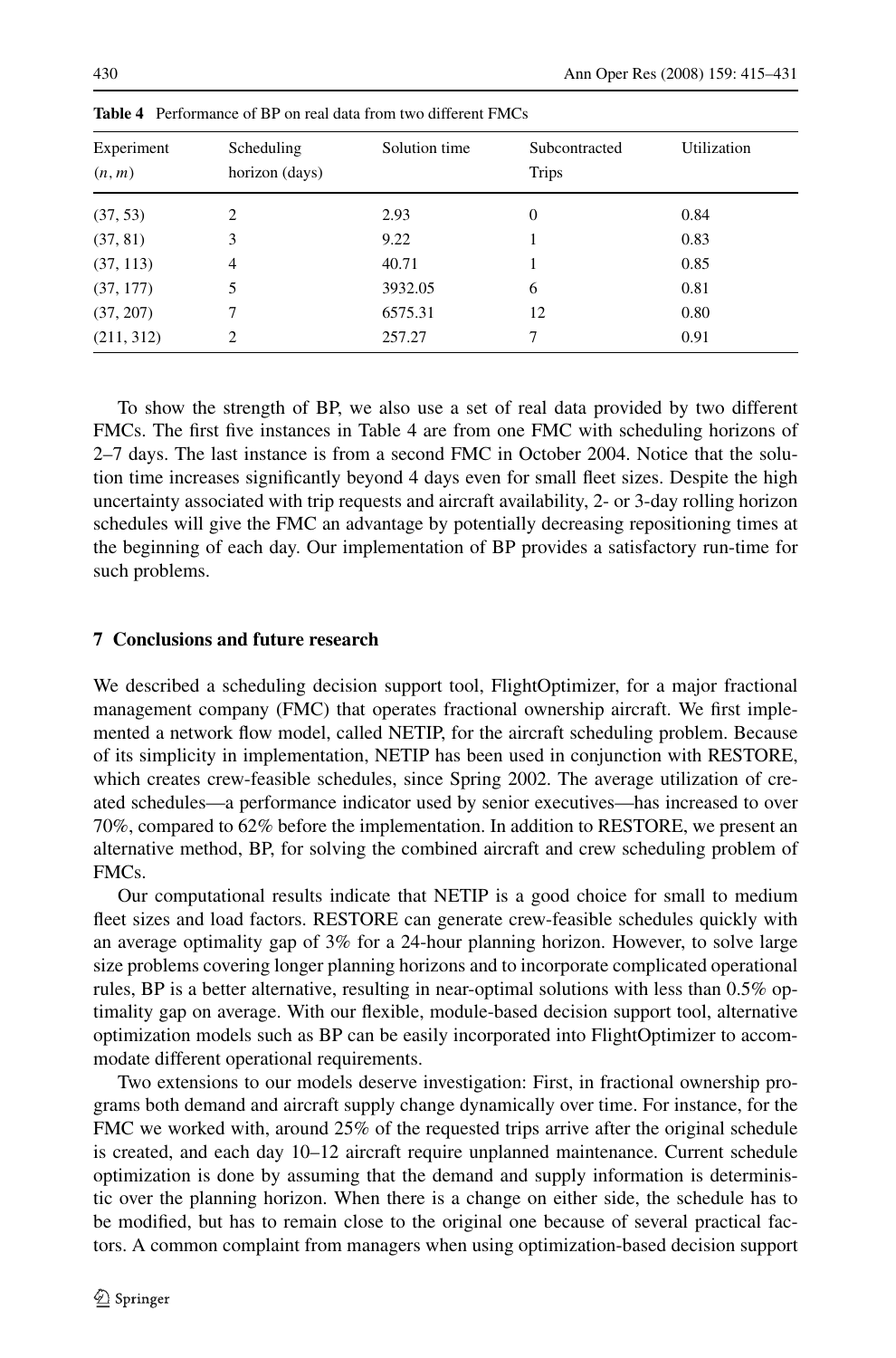| Experiment<br>(n, m) | Scheduling<br>horizon (days) | Solution time | Subcontracted<br><b>Trips</b> | Utilization |
|----------------------|------------------------------|---------------|-------------------------------|-------------|
| (37, 53)             | 2                            | 2.93          | 0                             | 0.84        |
| (37, 81)             | 3                            | 9.22          |                               | 0.83        |
| (37, 113)            | $\overline{4}$               | 40.71         |                               | 0.85        |
| (37, 177)            | 5                            | 3932.05       | 6                             | 0.81        |
| (37, 207)            | 7                            | 6575.31       | 12                            | 0.80        |
| (211, 312)           | C                            | 257.27        | 7                             | 0.91        |

<span id="page-15-0"></span>**Table 4** Performance of BP on real data from two different FMCs

To show the strength of BP, we also use a set of real data provided by two different FMCs. The first five instances in Table 4 are from one FMC with scheduling horizons of 2–7 days. The last instance is from a second FMC in October 2004. Notice that the solution time increases significantly beyond 4 days even for small fleet sizes. Despite the high uncertainty associated with trip requests and aircraft availability, 2- or 3-day rolling horizon schedules will give the FMC an advantage by potentially decreasing repositioning times at the beginning of each day. Our implementation of BP provides a satisfactory run-time for such problems.

## **7 Conclusions and future research**

We described a scheduling decision support tool, FlightOptimizer, for a major fractional management company (FMC) that operates fractional ownership aircraft. We first implemented a network flow model, called NETIP, for the aircraft scheduling problem. Because of its simplicity in implementation, NETIP has been used in conjunction with RESTORE, which creates crew-feasible schedules, since Spring 2002. The average utilization of created schedules—a performance indicator used by senior executives—has increased to over 70%, compared to 62% before the implementation. In addition to RESTORE, we present an alternative method, BP, for solving the combined aircraft and crew scheduling problem of FMCs.

Our computational results indicate that NETIP is a good choice for small to medium fleet sizes and load factors. RESTORE can generate crew-feasible schedules quickly with an average optimality gap of 3% for a 24-hour planning horizon. However, to solve large size problems covering longer planning horizons and to incorporate complicated operational rules, BP is a better alternative, resulting in near-optimal solutions with less than 0.5% optimality gap on average. With our flexible, module-based decision support tool, alternative optimization models such as BP can be easily incorporated into FlightOptimizer to accommodate different operational requirements.

Two extensions to our models deserve investigation: First, in fractional ownership programs both demand and aircraft supply change dynamically over time. For instance, for the FMC we worked with, around 25% of the requested trips arrive after the original schedule is created, and each day 10–12 aircraft require unplanned maintenance. Current schedule optimization is done by assuming that the demand and supply information is deterministic over the planning horizon. When there is a change on either side, the schedule has to be modified, but has to remain close to the original one because of several practical factors. A common complaint from managers when using optimization-based decision support